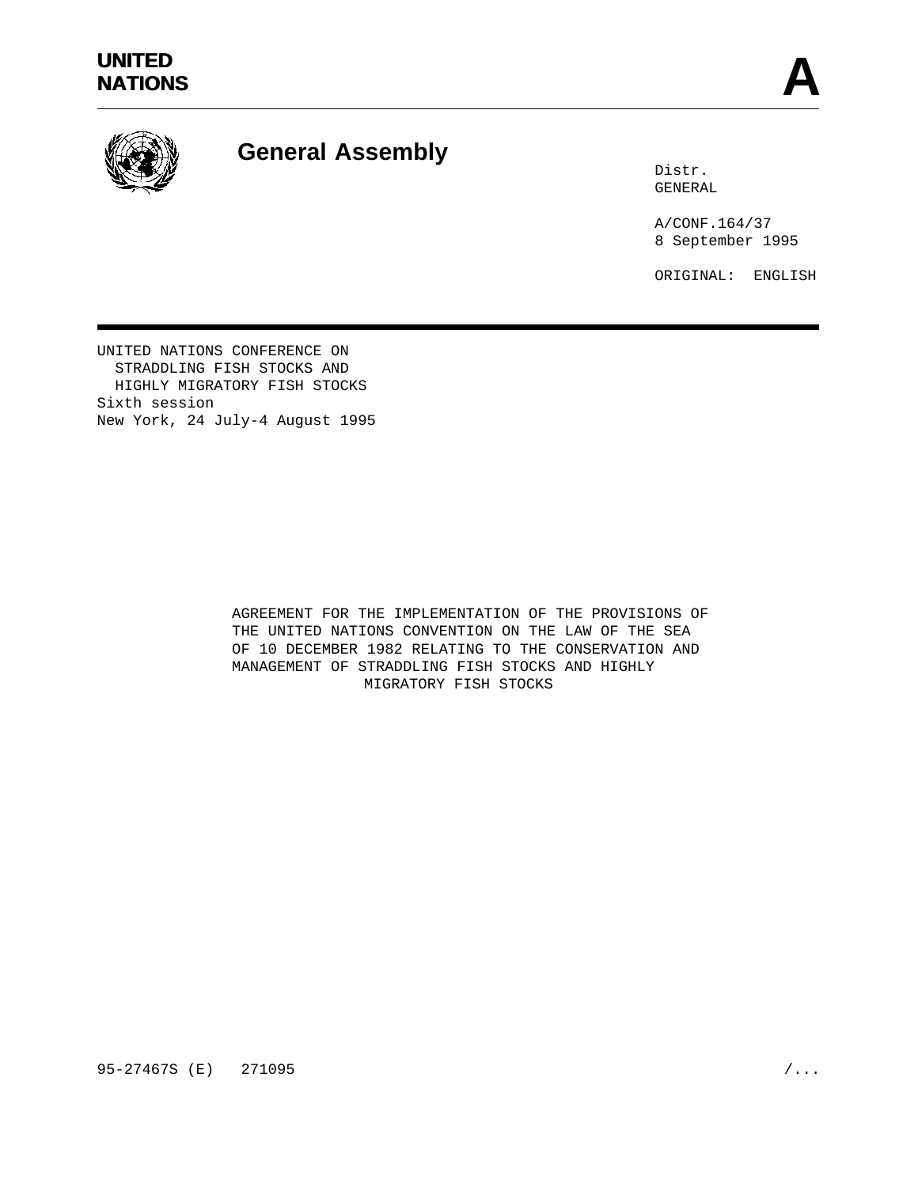# **UNITED** UNITED<br>NATIONS



# **General Assembly**

Distr. GENERAL

A/CONF.164/37 8 September 1995

ORIGINAL: ENGLISH

UNITED NATIONS CONFERENCE ON STRADDLING FISH STOCKS AND HIGHLY MIGRATORY FISH STOCKS Sixth session New York, 24 July-4 August 1995

> AGREEMENT FOR THE IMPLEMENTATION OF THE PROVISIONS OF THE UNITED NATIONS CONVENTION ON THE LAW OF THE SEA OF 10 DECEMBER 1982 RELATING TO THE CONSERVATION AND MANAGEMENT OF STRADDLING FISH STOCKS AND HIGHLY MIGRATORY FISH STOCKS

95-27467S (E) 271095 /...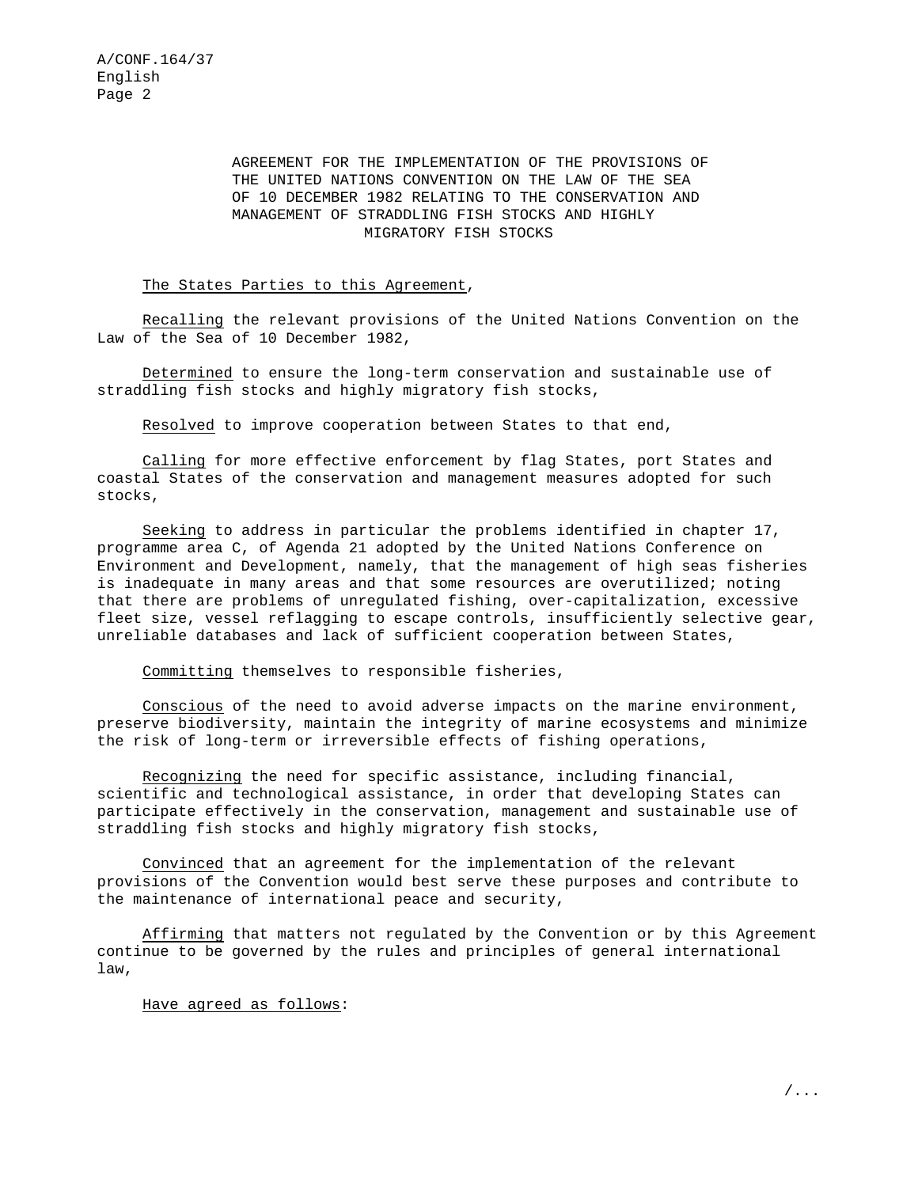AGREEMENT FOR THE IMPLEMENTATION OF THE PROVISIONS OF THE UNITED NATIONS CONVENTION ON THE LAW OF THE SEA OF 10 DECEMBER 1982 RELATING TO THE CONSERVATION AND MANAGEMENT OF STRADDLING FISH STOCKS AND HIGHLY MIGRATORY FISH STOCKS

#### The States Parties to this Agreement,

Recalling the relevant provisions of the United Nations Convention on the Law of the Sea of 10 December 1982,

Determined to ensure the long-term conservation and sustainable use of straddling fish stocks and highly migratory fish stocks,

Resolved to improve cooperation between States to that end,

Calling for more effective enforcement by flag States, port States and coastal States of the conservation and management measures adopted for such stocks,

Seeking to address in particular the problems identified in chapter 17, programme area C, of Agenda 21 adopted by the United Nations Conference on Environment and Development, namely, that the management of high seas fisheries is inadequate in many areas and that some resources are overutilized; noting that there are problems of unregulated fishing, over-capitalization, excessive fleet size, vessel reflagging to escape controls, insufficiently selective gear, unreliable databases and lack of sufficient cooperation between States,

Committing themselves to responsible fisheries,

Conscious of the need to avoid adverse impacts on the marine environment, preserve biodiversity, maintain the integrity of marine ecosystems and minimize the risk of long-term or irreversible effects of fishing operations,

Recognizing the need for specific assistance, including financial, scientific and technological assistance, in order that developing States can participate effectively in the conservation, management and sustainable use of straddling fish stocks and highly migratory fish stocks,

Convinced that an agreement for the implementation of the relevant provisions of the Convention would best serve these purposes and contribute to the maintenance of international peace and security,

Affirming that matters not regulated by the Convention or by this Agreement continue to be governed by the rules and principles of general international law,

# Have agreed as follows: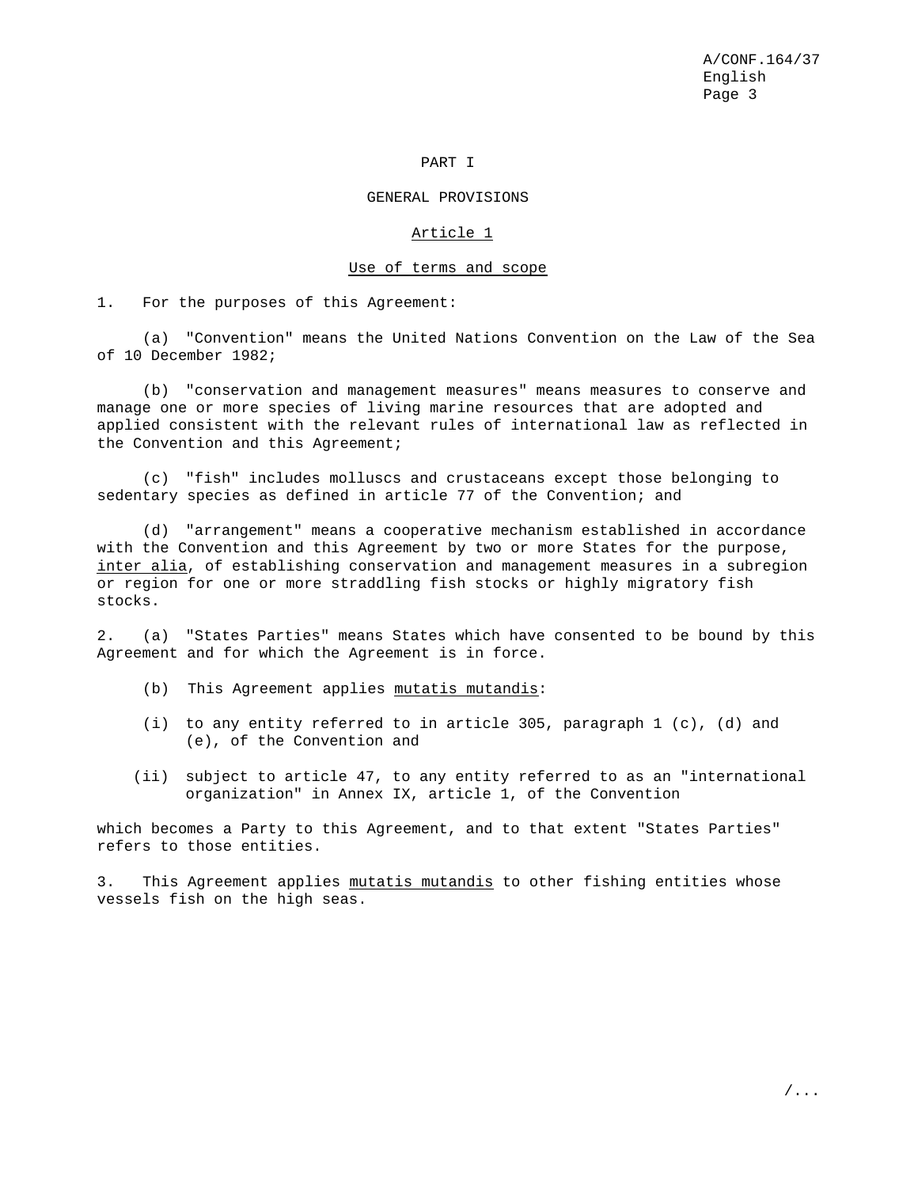PART I

# GENERAL PROVISIONS

#### Article 1

## Use of terms and scope

1. For the purposes of this Agreement:

(a) "Convention" means the United Nations Convention on the Law of the Sea of 10 December 1982;

(b) "conservation and management measures" means measures to conserve and manage one or more species of living marine resources that are adopted and applied consistent with the relevant rules of international law as reflected in the Convention and this Agreement;

(c) "fish" includes molluscs and crustaceans except those belonging to sedentary species as defined in article 77 of the Convention; and

(d) "arrangement" means a cooperative mechanism established in accordance with the Convention and this Agreement by two or more States for the purpose, inter alia, of establishing conservation and management measures in a subregion or region for one or more straddling fish stocks or highly migratory fish stocks.

2. (a) "States Parties" means States which have consented to be bound by this Agreement and for which the Agreement is in force.

- (b) This Agreement applies mutatis mutandis:
- (i) to any entity referred to in article 305, paragraph 1 (c), (d) and (e), of the Convention and
- (ii) subject to article 47, to any entity referred to as an "international organization" in Annex IX, article 1, of the Convention

which becomes a Party to this Agreement, and to that extent "States Parties" refers to those entities.

3. This Agreement applies mutatis mutandis to other fishing entities whose vessels fish on the high seas.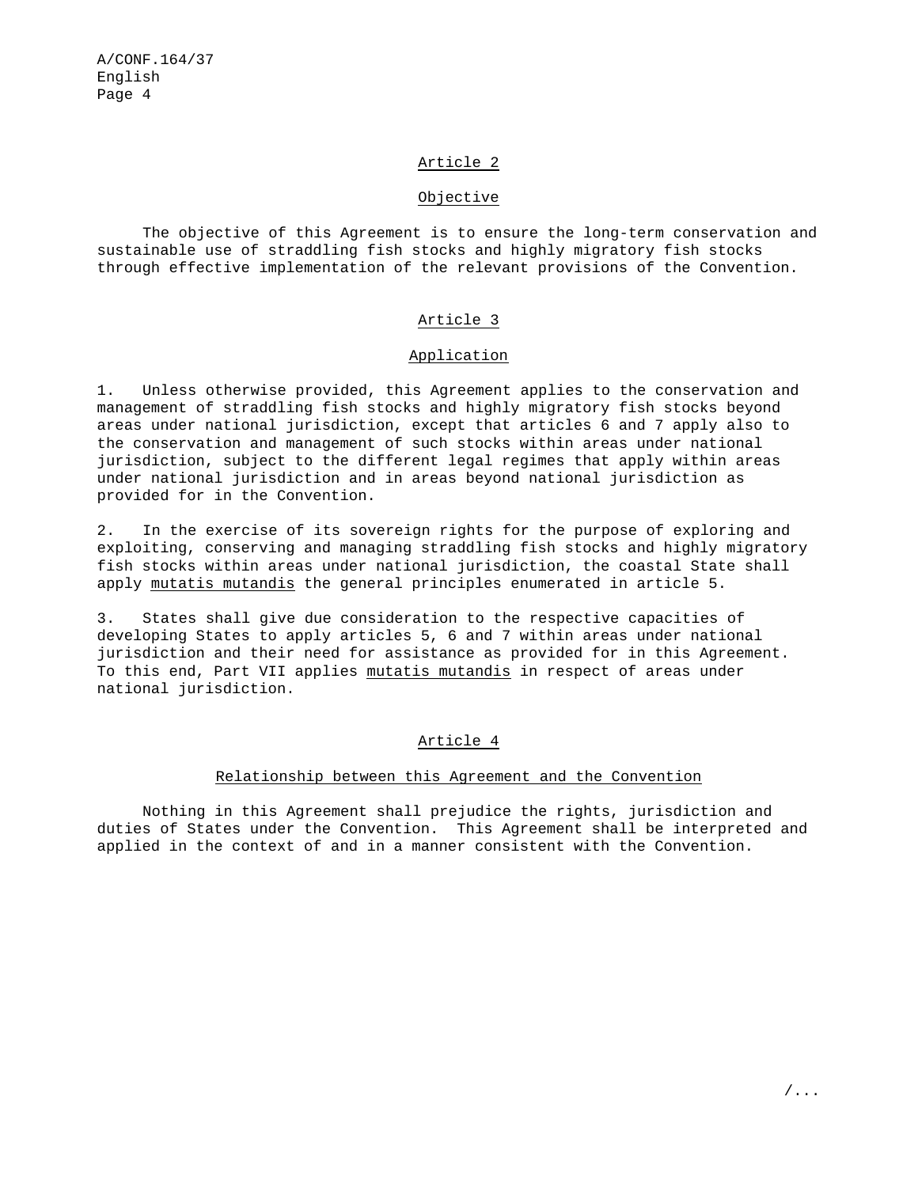# Article 2

# Objective

The objective of this Agreement is to ensure the long-term conservation and sustainable use of straddling fish stocks and highly migratory fish stocks through effective implementation of the relevant provisions of the Convention.

# Article 3

# Application

1. Unless otherwise provided, this Agreement applies to the conservation and management of straddling fish stocks and highly migratory fish stocks beyond areas under national jurisdiction, except that articles 6 and 7 apply also to the conservation and management of such stocks within areas under national jurisdiction, subject to the different legal regimes that apply within areas under national jurisdiction and in areas beyond national jurisdiction as provided for in the Convention.

2. In the exercise of its sovereign rights for the purpose of exploring and exploiting, conserving and managing straddling fish stocks and highly migratory fish stocks within areas under national jurisdiction, the coastal State shall apply mutatis mutandis the general principles enumerated in article 5.

3. States shall give due consideration to the respective capacities of developing States to apply articles 5, 6 and 7 within areas under national jurisdiction and their need for assistance as provided for in this Agreement. To this end, Part VII applies mutatis mutandis in respect of areas under national jurisdiction.

# Article 4

# Relationship between this Agreement and the Convention

Nothing in this Agreement shall prejudice the rights, jurisdiction and duties of States under the Convention. This Agreement shall be interpreted and applied in the context of and in a manner consistent with the Convention.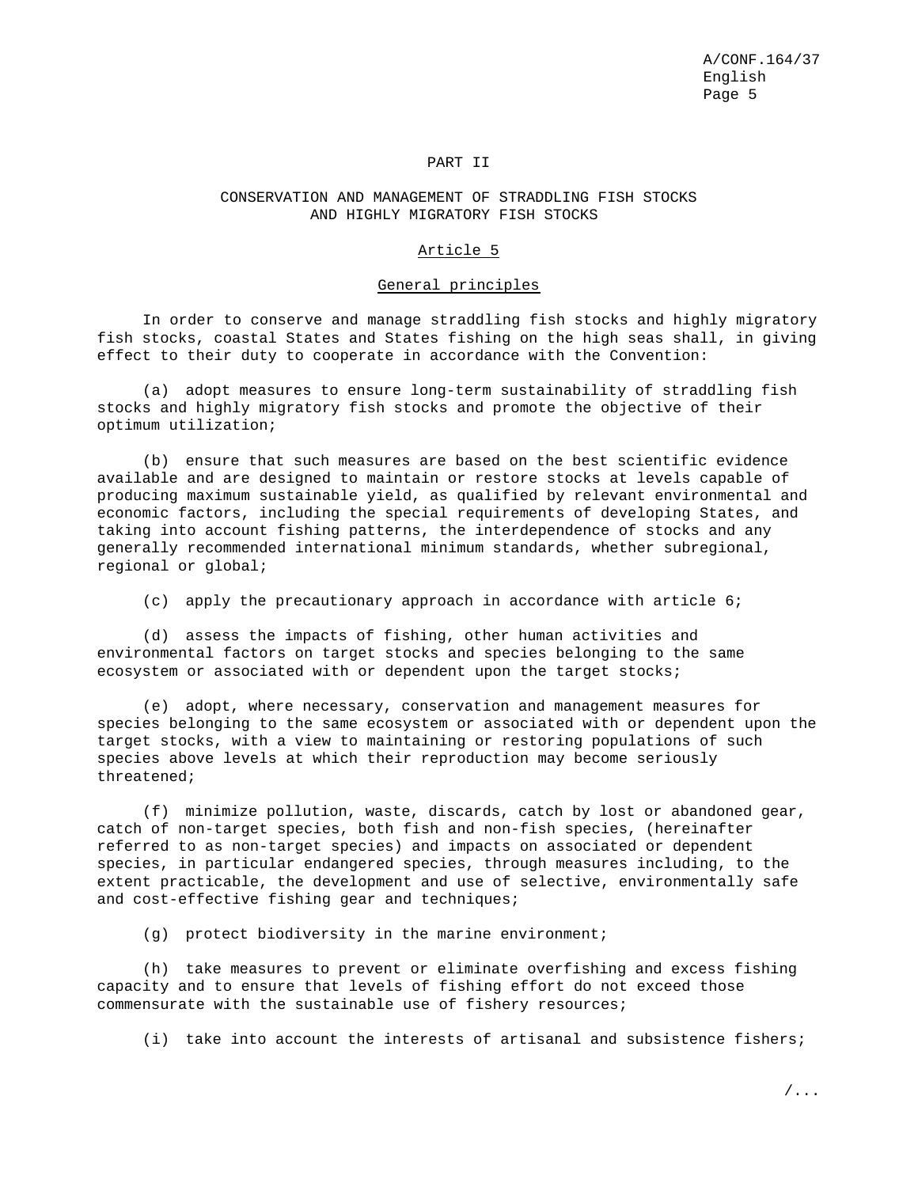# PART II

# CONSERVATION AND MANAGEMENT OF STRADDLING FISH STOCKS AND HIGHLY MIGRATORY FISH STOCKS

# Article 5

## General principles

In order to conserve and manage straddling fish stocks and highly migratory fish stocks, coastal States and States fishing on the high seas shall, in giving effect to their duty to cooperate in accordance with the Convention:

(a) adopt measures to ensure long-term sustainability of straddling fish stocks and highly migratory fish stocks and promote the objective of their optimum utilization;

(b) ensure that such measures are based on the best scientific evidence available and are designed to maintain or restore stocks at levels capable of producing maximum sustainable yield, as qualified by relevant environmental and economic factors, including the special requirements of developing States, and taking into account fishing patterns, the interdependence of stocks and any generally recommended international minimum standards, whether subregional, regional or global;

(c) apply the precautionary approach in accordance with article 6;

(d) assess the impacts of fishing, other human activities and environmental factors on target stocks and species belonging to the same ecosystem or associated with or dependent upon the target stocks;

(e) adopt, where necessary, conservation and management measures for species belonging to the same ecosystem or associated with or dependent upon the target stocks, with a view to maintaining or restoring populations of such species above levels at which their reproduction may become seriously threatened;

(f) minimize pollution, waste, discards, catch by lost or abandoned gear, catch of non-target species, both fish and non-fish species, (hereinafter referred to as non-target species) and impacts on associated or dependent species, in particular endangered species, through measures including, to the extent practicable, the development and use of selective, environmentally safe and cost-effective fishing gear and techniques;

(g) protect biodiversity in the marine environment;

(h) take measures to prevent or eliminate overfishing and excess fishing capacity and to ensure that levels of fishing effort do not exceed those commensurate with the sustainable use of fishery resources;

(i) take into account the interests of artisanal and subsistence fishers;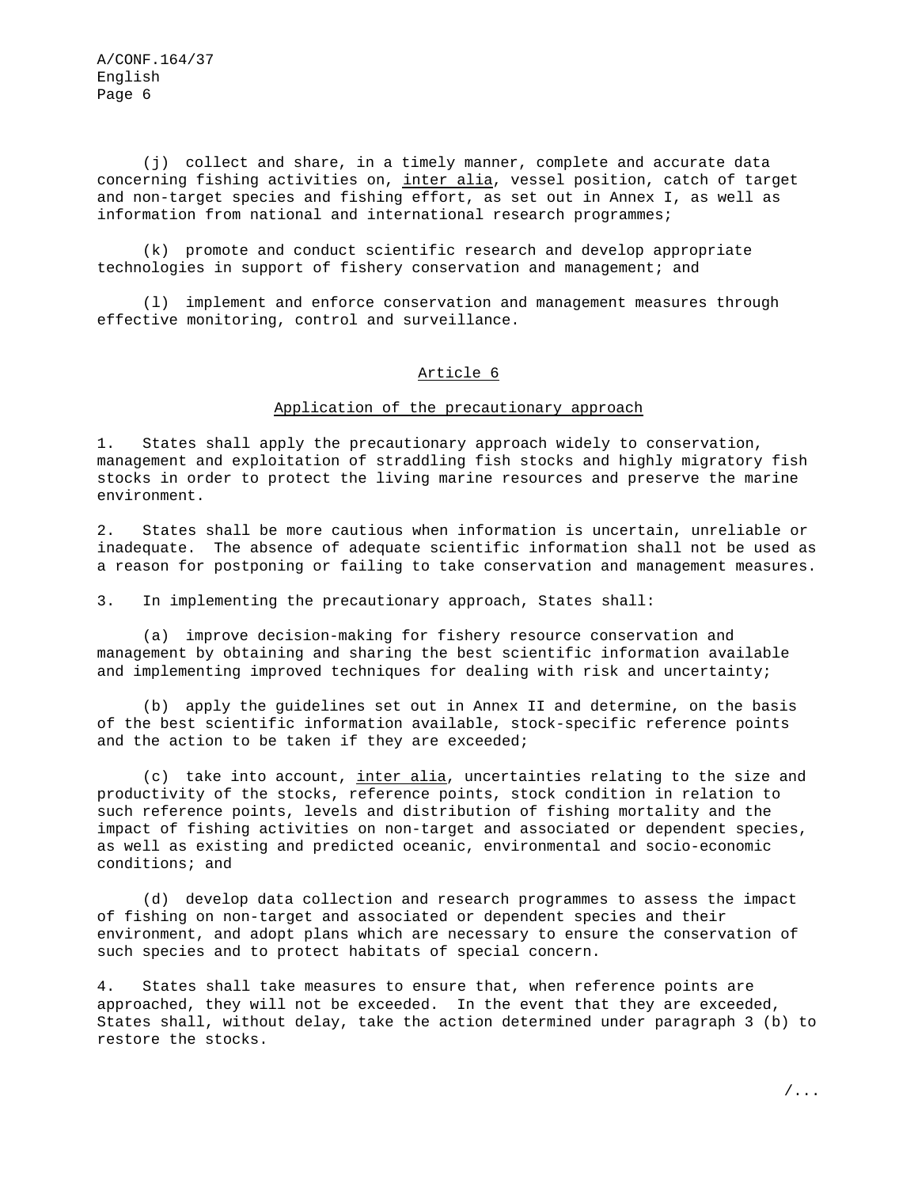(j) collect and share, in a timely manner, complete and accurate data concerning fishing activities on, inter alia, vessel position, catch of target and non-target species and fishing effort, as set out in Annex I, as well as information from national and international research programmes;

(k) promote and conduct scientific research and develop appropriate technologies in support of fishery conservation and management; and

(l) implement and enforce conservation and management measures through effective monitoring, control and surveillance.

# Article 6

#### Application of the precautionary approach

1. States shall apply the precautionary approach widely to conservation, management and exploitation of straddling fish stocks and highly migratory fish stocks in order to protect the living marine resources and preserve the marine environment.

2. States shall be more cautious when information is uncertain, unreliable or inadequate. The absence of adequate scientific information shall not be used as a reason for postponing or failing to take conservation and management measures.

3. In implementing the precautionary approach, States shall:

(a) improve decision-making for fishery resource conservation and management by obtaining and sharing the best scientific information available and implementing improved techniques for dealing with risk and uncertainty;

(b) apply the guidelines set out in Annex II and determine, on the basis of the best scientific information available, stock-specific reference points and the action to be taken if they are exceeded;

(c) take into account, inter alia, uncertainties relating to the size and productivity of the stocks, reference points, stock condition in relation to such reference points, levels and distribution of fishing mortality and the impact of fishing activities on non-target and associated or dependent species, as well as existing and predicted oceanic, environmental and socio-economic conditions; and

(d) develop data collection and research programmes to assess the impact of fishing on non-target and associated or dependent species and their environment, and adopt plans which are necessary to ensure the conservation of such species and to protect habitats of special concern.

4. States shall take measures to ensure that, when reference points are approached, they will not be exceeded. In the event that they are exceeded, States shall, without delay, take the action determined under paragraph 3 (b) to restore the stocks.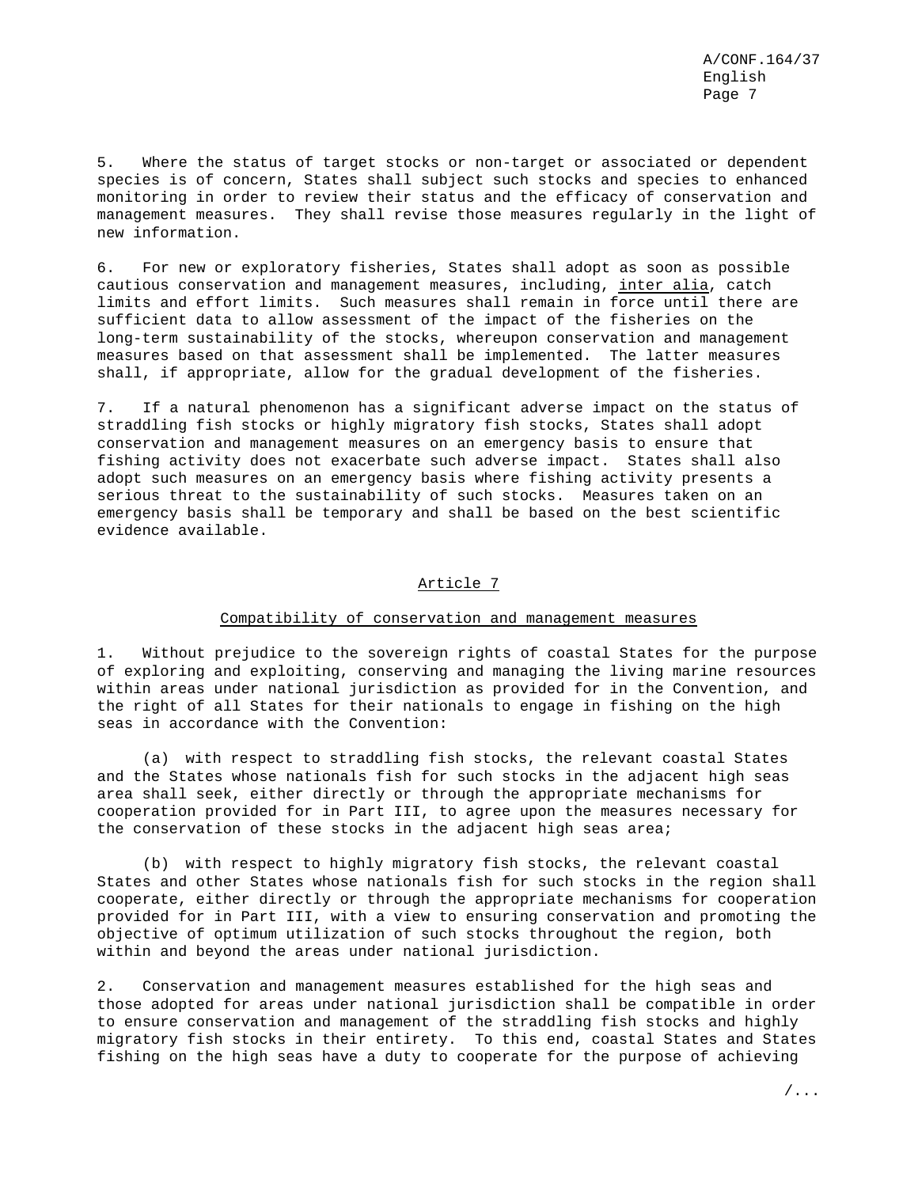5. Where the status of target stocks or non-target or associated or dependent species is of concern, States shall subject such stocks and species to enhanced monitoring in order to review their status and the efficacy of conservation and management measures. They shall revise those measures regularly in the light of new information.

6. For new or exploratory fisheries, States shall adopt as soon as possible cautious conservation and management measures, including, inter alia, catch limits and effort limits. Such measures shall remain in force until there are sufficient data to allow assessment of the impact of the fisheries on the long-term sustainability of the stocks, whereupon conservation and management measures based on that assessment shall be implemented. The latter measures shall, if appropriate, allow for the gradual development of the fisheries.

7. If a natural phenomenon has a significant adverse impact on the status of straddling fish stocks or highly migratory fish stocks, States shall adopt conservation and management measures on an emergency basis to ensure that fishing activity does not exacerbate such adverse impact. States shall also adopt such measures on an emergency basis where fishing activity presents a serious threat to the sustainability of such stocks. Measures taken on an emergency basis shall be temporary and shall be based on the best scientific evidence available.

# Article 7

# Compatibility of conservation and management measures

1. Without prejudice to the sovereign rights of coastal States for the purpose of exploring and exploiting, conserving and managing the living marine resources within areas under national jurisdiction as provided for in the Convention, and the right of all States for their nationals to engage in fishing on the high seas in accordance with the Convention:

(a) with respect to straddling fish stocks, the relevant coastal States and the States whose nationals fish for such stocks in the adjacent high seas area shall seek, either directly or through the appropriate mechanisms for cooperation provided for in Part III, to agree upon the measures necessary for the conservation of these stocks in the adjacent high seas area;

(b) with respect to highly migratory fish stocks, the relevant coastal States and other States whose nationals fish for such stocks in the region shall cooperate, either directly or through the appropriate mechanisms for cooperation provided for in Part III, with a view to ensuring conservation and promoting the objective of optimum utilization of such stocks throughout the region, both within and beyond the areas under national jurisdiction.

2. Conservation and management measures established for the high seas and those adopted for areas under national jurisdiction shall be compatible in order to ensure conservation and management of the straddling fish stocks and highly migratory fish stocks in their entirety. To this end, coastal States and States fishing on the high seas have a duty to cooperate for the purpose of achieving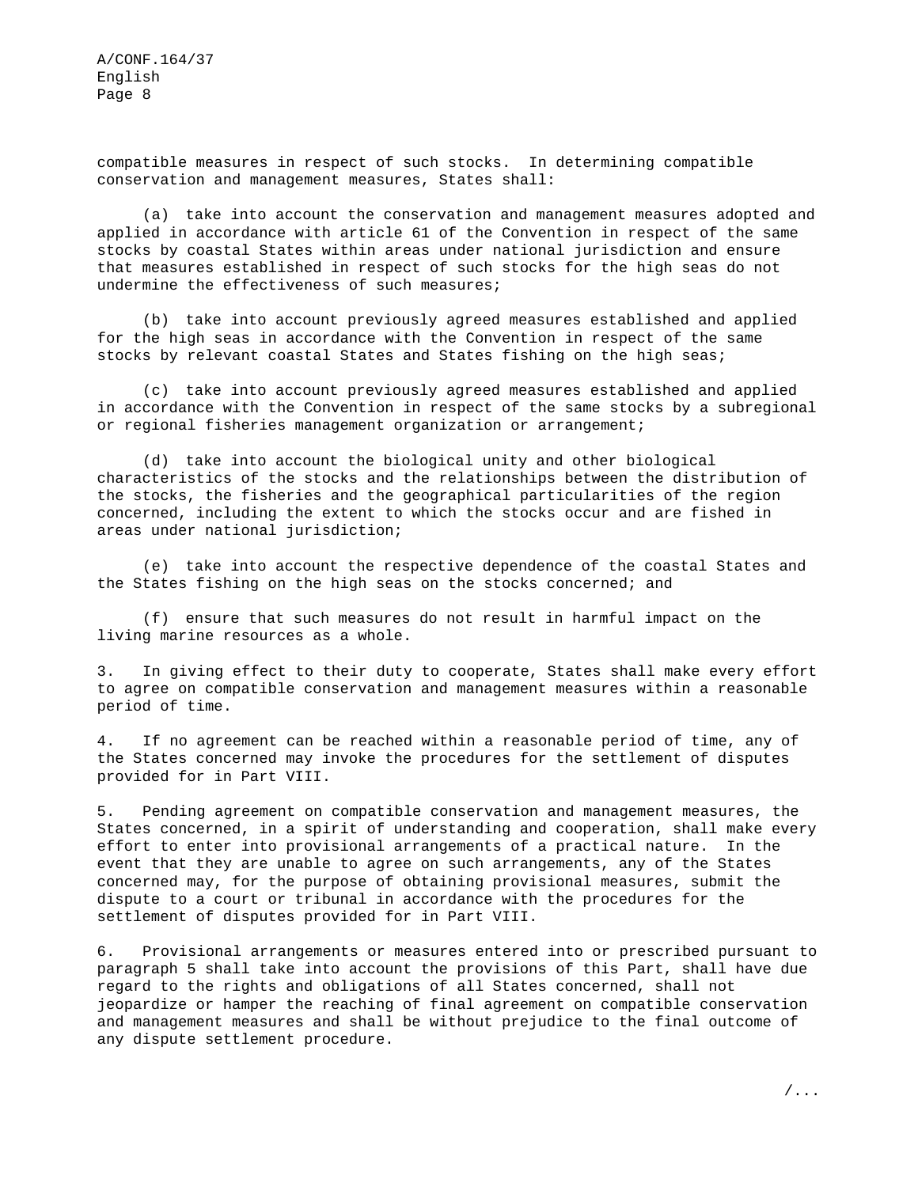compatible measures in respect of such stocks. In determining compatible conservation and management measures, States shall:

(a) take into account the conservation and management measures adopted and applied in accordance with article 61 of the Convention in respect of the same stocks by coastal States within areas under national jurisdiction and ensure that measures established in respect of such stocks for the high seas do not undermine the effectiveness of such measures;

(b) take into account previously agreed measures established and applied for the high seas in accordance with the Convention in respect of the same stocks by relevant coastal States and States fishing on the high seas;

(c) take into account previously agreed measures established and applied in accordance with the Convention in respect of the same stocks by a subregional or regional fisheries management organization or arrangement;

(d) take into account the biological unity and other biological characteristics of the stocks and the relationships between the distribution of the stocks, the fisheries and the geographical particularities of the region concerned, including the extent to which the stocks occur and are fished in areas under national jurisdiction;

(e) take into account the respective dependence of the coastal States and the States fishing on the high seas on the stocks concerned; and

(f) ensure that such measures do not result in harmful impact on the living marine resources as a whole.

3. In giving effect to their duty to cooperate, States shall make every effort to agree on compatible conservation and management measures within a reasonable period of time.

4. If no agreement can be reached within a reasonable period of time, any of the States concerned may invoke the procedures for the settlement of disputes provided for in Part VIII.

5. Pending agreement on compatible conservation and management measures, the States concerned, in a spirit of understanding and cooperation, shall make every effort to enter into provisional arrangements of a practical nature. In the event that they are unable to agree on such arrangements, any of the States concerned may, for the purpose of obtaining provisional measures, submit the dispute to a court or tribunal in accordance with the procedures for the settlement of disputes provided for in Part VIII.

6. Provisional arrangements or measures entered into or prescribed pursuant to paragraph 5 shall take into account the provisions of this Part, shall have due regard to the rights and obligations of all States concerned, shall not jeopardize or hamper the reaching of final agreement on compatible conservation and management measures and shall be without prejudice to the final outcome of any dispute settlement procedure.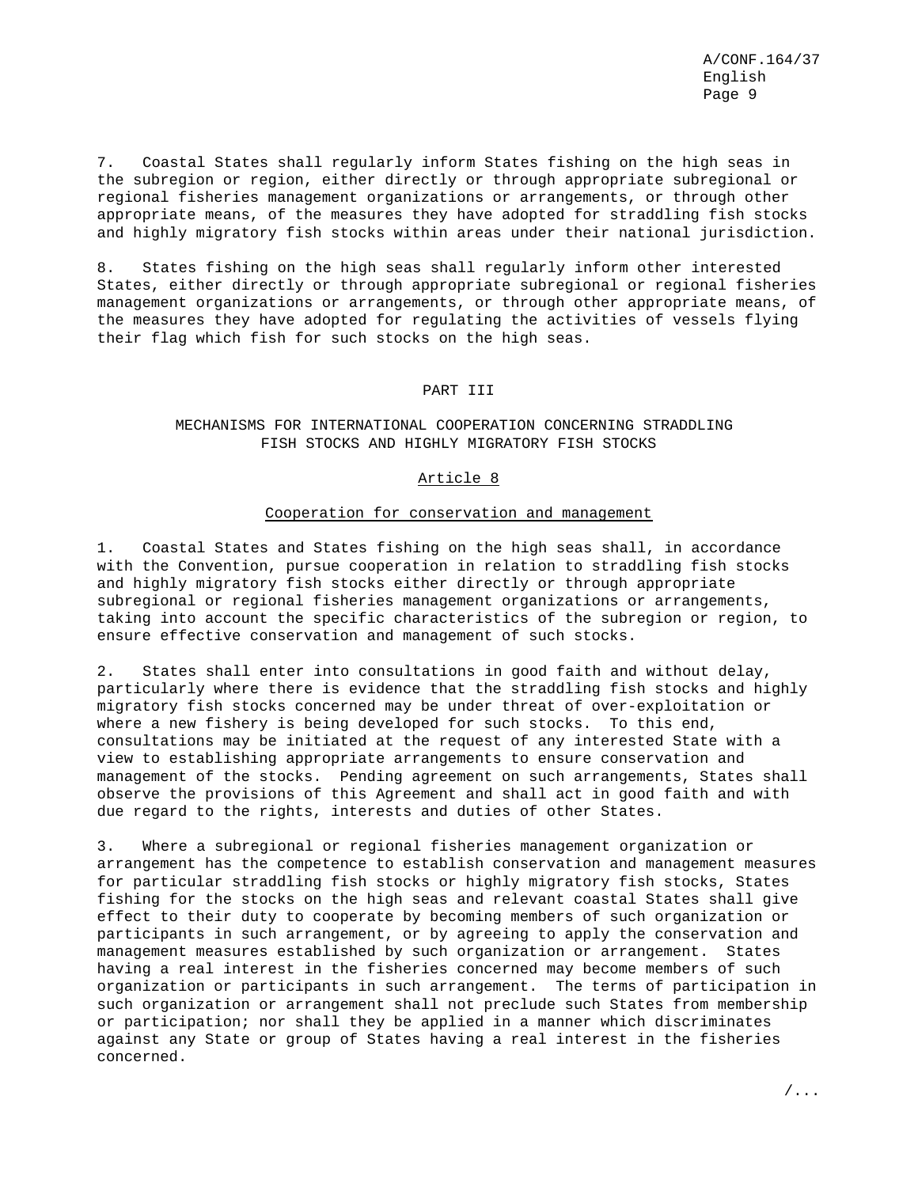7. Coastal States shall regularly inform States fishing on the high seas in the subregion or region, either directly or through appropriate subregional or regional fisheries management organizations or arrangements, or through other appropriate means, of the measures they have adopted for straddling fish stocks and highly migratory fish stocks within areas under their national jurisdiction.

8. States fishing on the high seas shall regularly inform other interested States, either directly or through appropriate subregional or regional fisheries management organizations or arrangements, or through other appropriate means, of the measures they have adopted for regulating the activities of vessels flying their flag which fish for such stocks on the high seas.

#### PART III

# MECHANISMS FOR INTERNATIONAL COOPERATION CONCERNING STRADDLING FISH STOCKS AND HIGHLY MIGRATORY FISH STOCKS

# Article 8

## Cooperation for conservation and management

1. Coastal States and States fishing on the high seas shall, in accordance with the Convention, pursue cooperation in relation to straddling fish stocks and highly migratory fish stocks either directly or through appropriate subregional or regional fisheries management organizations or arrangements, taking into account the specific characteristics of the subregion or region, to ensure effective conservation and management of such stocks.

2. States shall enter into consultations in good faith and without delay, particularly where there is evidence that the straddling fish stocks and highly migratory fish stocks concerned may be under threat of over-exploitation or where a new fishery is being developed for such stocks. To this end, consultations may be initiated at the request of any interested State with a view to establishing appropriate arrangements to ensure conservation and management of the stocks. Pending agreement on such arrangements, States shall observe the provisions of this Agreement and shall act in good faith and with due regard to the rights, interests and duties of other States.

3. Where a subregional or regional fisheries management organization or arrangement has the competence to establish conservation and management measures for particular straddling fish stocks or highly migratory fish stocks, States fishing for the stocks on the high seas and relevant coastal States shall give effect to their duty to cooperate by becoming members of such organization or participants in such arrangement, or by agreeing to apply the conservation and management measures established by such organization or arrangement. States having a real interest in the fisheries concerned may become members of such organization or participants in such arrangement. The terms of participation in such organization or arrangement shall not preclude such States from membership or participation; nor shall they be applied in a manner which discriminates against any State or group of States having a real interest in the fisheries concerned.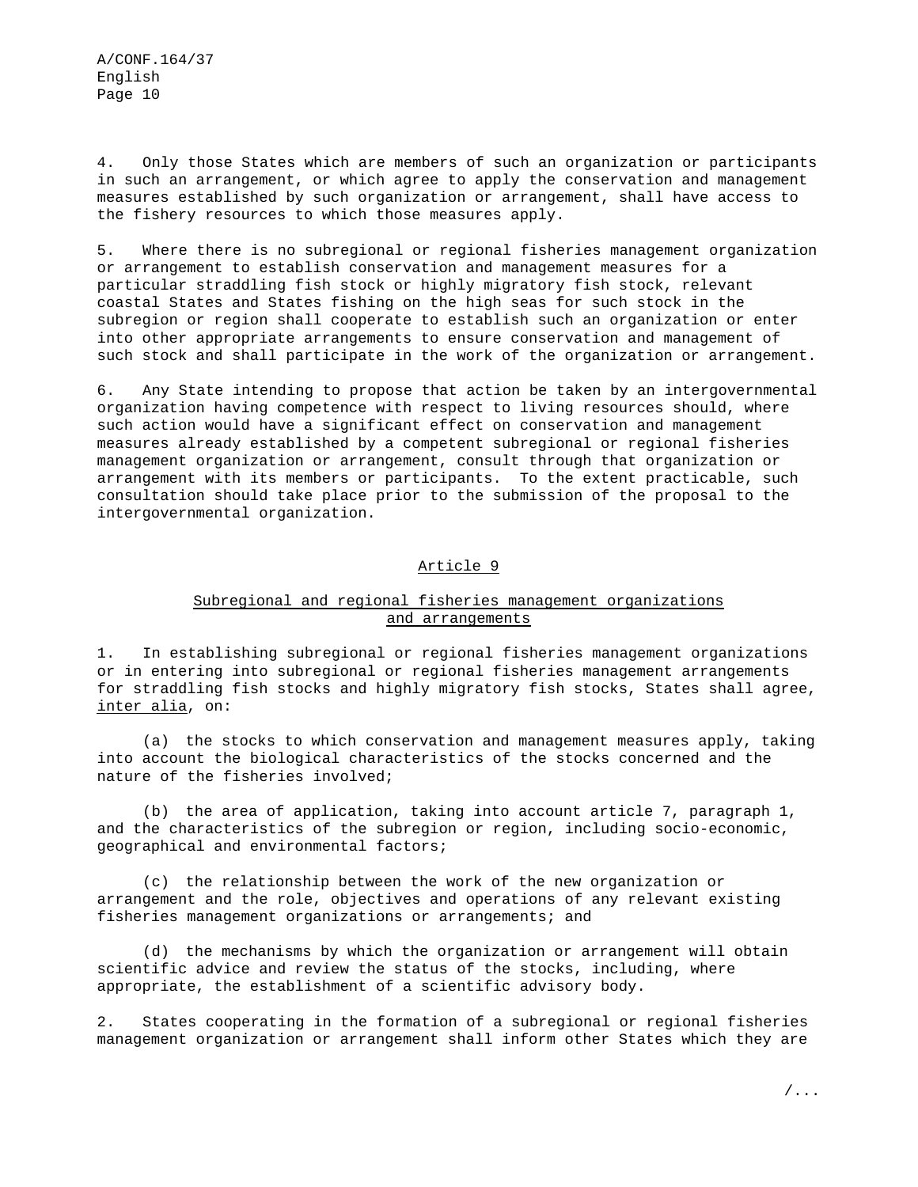4. Only those States which are members of such an organization or participants in such an arrangement, or which agree to apply the conservation and management measures established by such organization or arrangement, shall have access to the fishery resources to which those measures apply.

5. Where there is no subregional or regional fisheries management organization or arrangement to establish conservation and management measures for a particular straddling fish stock or highly migratory fish stock, relevant coastal States and States fishing on the high seas for such stock in the subregion or region shall cooperate to establish such an organization or enter into other appropriate arrangements to ensure conservation and management of such stock and shall participate in the work of the organization or arrangement.

6. Any State intending to propose that action be taken by an intergovernmental organization having competence with respect to living resources should, where such action would have a significant effect on conservation and management measures already established by a competent subregional or regional fisheries management organization or arrangement, consult through that organization or arrangement with its members or participants. To the extent practicable, such consultation should take place prior to the submission of the proposal to the intergovernmental organization.

# Article 9

# Subregional and regional fisheries management organizations and arrangements

1. In establishing subregional or regional fisheries management organizations or in entering into subregional or regional fisheries management arrangements for straddling fish stocks and highly migratory fish stocks, States shall agree, inter alia, on:

(a) the stocks to which conservation and management measures apply, taking into account the biological characteristics of the stocks concerned and the nature of the fisheries involved;

(b) the area of application, taking into account article 7, paragraph 1, and the characteristics of the subregion or region, including socio-economic, geographical and environmental factors;

(c) the relationship between the work of the new organization or arrangement and the role, objectives and operations of any relevant existing fisheries management organizations or arrangements; and

(d) the mechanisms by which the organization or arrangement will obtain scientific advice and review the status of the stocks, including, where appropriate, the establishment of a scientific advisory body.

2. States cooperating in the formation of a subregional or regional fisheries management organization or arrangement shall inform other States which they are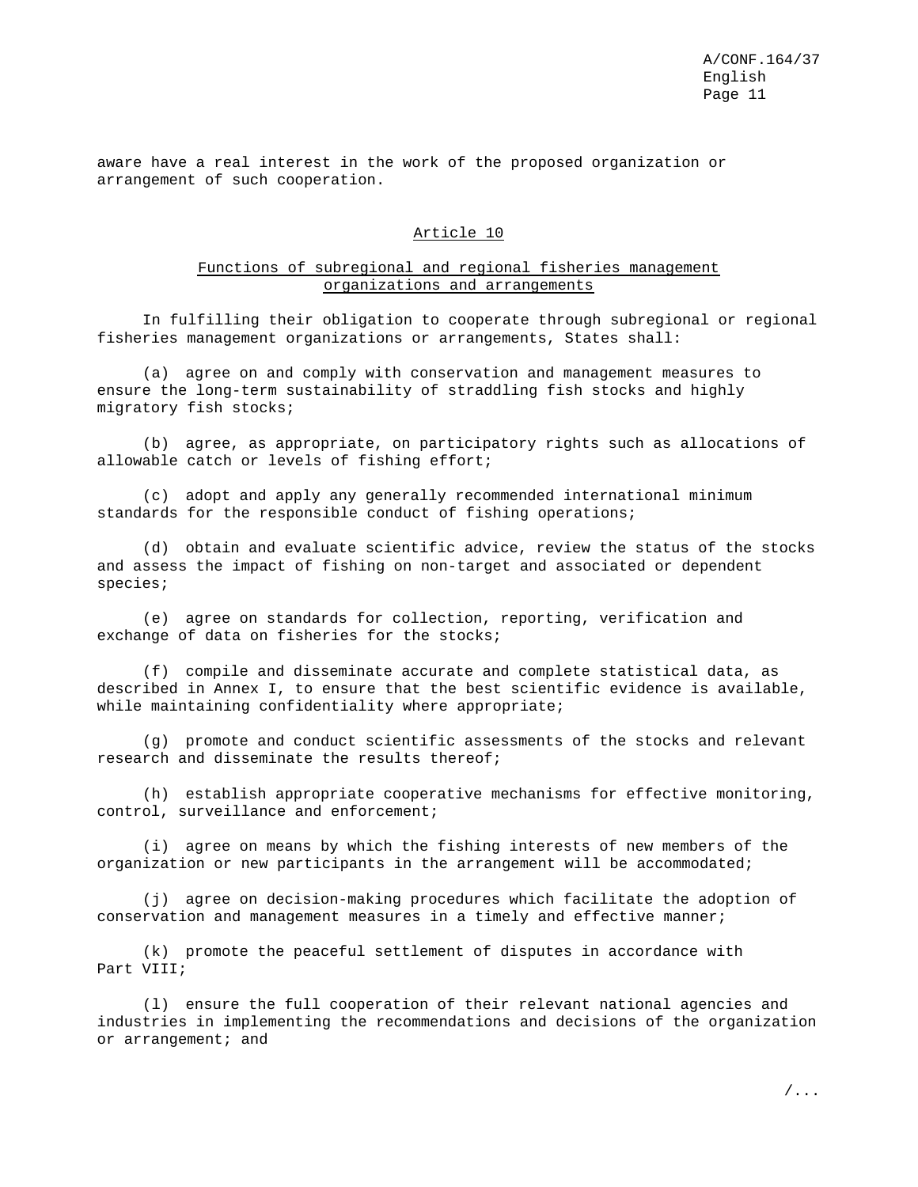aware have a real interest in the work of the proposed organization or arrangement of such cooperation.

# Article 10

# Functions of subregional and regional fisheries management organizations and arrangements

In fulfilling their obligation to cooperate through subregional or regional fisheries management organizations or arrangements, States shall:

(a) agree on and comply with conservation and management measures to ensure the long-term sustainability of straddling fish stocks and highly migratory fish stocks;

(b) agree, as appropriate, on participatory rights such as allocations of allowable catch or levels of fishing effort;

(c) adopt and apply any generally recommended international minimum standards for the responsible conduct of fishing operations;

(d) obtain and evaluate scientific advice, review the status of the stocks and assess the impact of fishing on non-target and associated or dependent species;

(e) agree on standards for collection, reporting, verification and exchange of data on fisheries for the stocks;

(f) compile and disseminate accurate and complete statistical data, as described in Annex I, to ensure that the best scientific evidence is available, while maintaining confidentiality where appropriate;

(g) promote and conduct scientific assessments of the stocks and relevant research and disseminate the results thereof;

(h) establish appropriate cooperative mechanisms for effective monitoring, control, surveillance and enforcement;

(i) agree on means by which the fishing interests of new members of the organization or new participants in the arrangement will be accommodated;

(j) agree on decision-making procedures which facilitate the adoption of conservation and management measures in a timely and effective manner;

(k) promote the peaceful settlement of disputes in accordance with Part VIII;

(l) ensure the full cooperation of their relevant national agencies and industries in implementing the recommendations and decisions of the organization or arrangement; and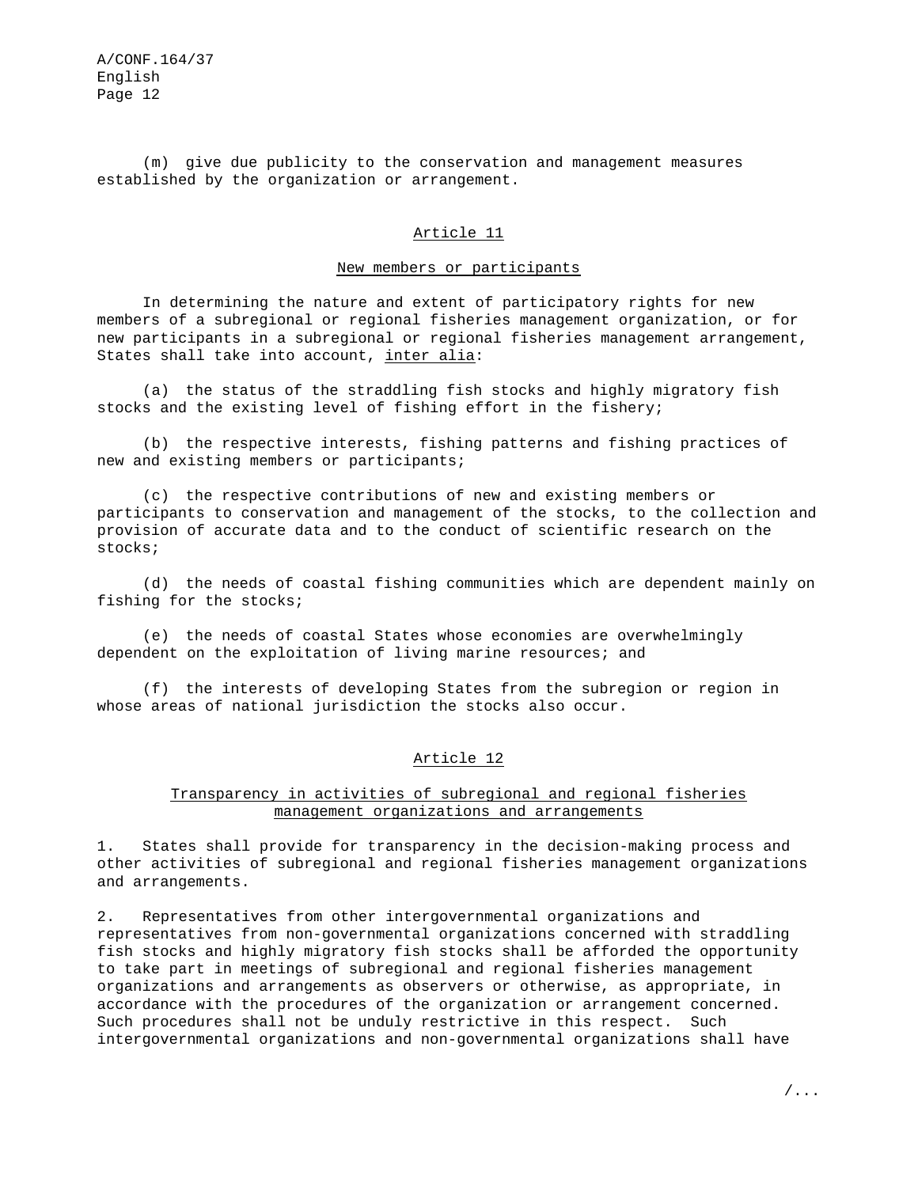(m) give due publicity to the conservation and management measures established by the organization or arrangement.

#### Article 11

## New members or participants

In determining the nature and extent of participatory rights for new members of a subregional or regional fisheries management organization, or for new participants in a subregional or regional fisheries management arrangement, States shall take into account, inter alia:

(a) the status of the straddling fish stocks and highly migratory fish stocks and the existing level of fishing effort in the fishery;

(b) the respective interests, fishing patterns and fishing practices of new and existing members or participants;

(c) the respective contributions of new and existing members or participants to conservation and management of the stocks, to the collection and provision of accurate data and to the conduct of scientific research on the stocks;

(d) the needs of coastal fishing communities which are dependent mainly on fishing for the stocks;

(e) the needs of coastal States whose economies are overwhelmingly dependent on the exploitation of living marine resources; and

(f) the interests of developing States from the subregion or region in whose areas of national jurisdiction the stocks also occur.

## Article 12

# Transparency in activities of subregional and regional fisheries management organizations and arrangements

1. States shall provide for transparency in the decision-making process and other activities of subregional and regional fisheries management organizations and arrangements.

2. Representatives from other intergovernmental organizations and representatives from non-governmental organizations concerned with straddling fish stocks and highly migratory fish stocks shall be afforded the opportunity to take part in meetings of subregional and regional fisheries management organizations and arrangements as observers or otherwise, as appropriate, in accordance with the procedures of the organization or arrangement concerned. Such procedures shall not be unduly restrictive in this respect. Such intergovernmental organizations and non-governmental organizations shall have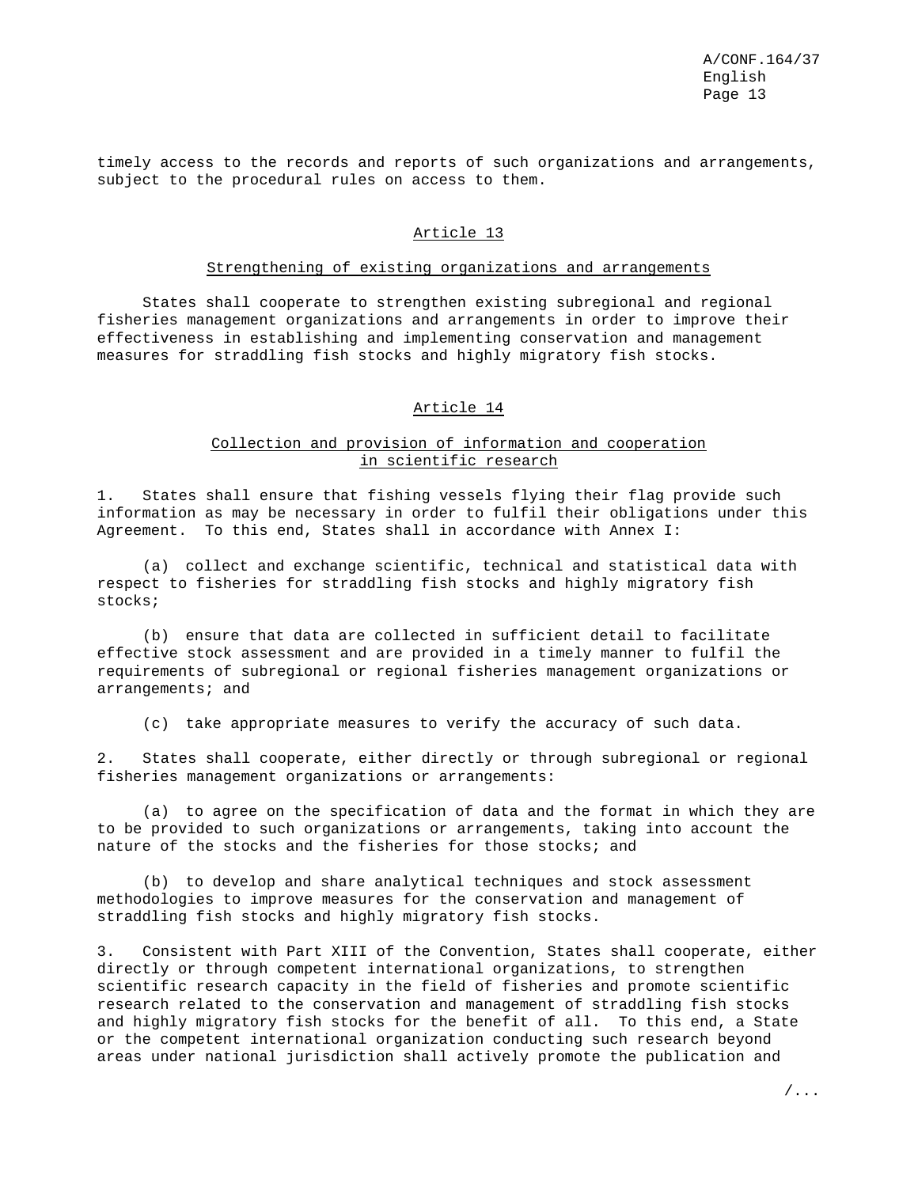timely access to the records and reports of such organizations and arrangements, subject to the procedural rules on access to them.

# Article 13

#### Strengthening of existing organizations and arrangements

States shall cooperate to strengthen existing subregional and regional fisheries management organizations and arrangements in order to improve their effectiveness in establishing and implementing conservation and management measures for straddling fish stocks and highly migratory fish stocks.

## Article 14

# Collection and provision of information and cooperation in scientific research

1. States shall ensure that fishing vessels flying their flag provide such information as may be necessary in order to fulfil their obligations under this Agreement. To this end, States shall in accordance with Annex I:

(a) collect and exchange scientific, technical and statistical data with respect to fisheries for straddling fish stocks and highly migratory fish stocks;

(b) ensure that data are collected in sufficient detail to facilitate effective stock assessment and are provided in a timely manner to fulfil the requirements of subregional or regional fisheries management organizations or arrangements; and

(c) take appropriate measures to verify the accuracy of such data.

2. States shall cooperate, either directly or through subregional or regional fisheries management organizations or arrangements:

(a) to agree on the specification of data and the format in which they are to be provided to such organizations or arrangements, taking into account the nature of the stocks and the fisheries for those stocks; and

(b) to develop and share analytical techniques and stock assessment methodologies to improve measures for the conservation and management of straddling fish stocks and highly migratory fish stocks.

3. Consistent with Part XIII of the Convention, States shall cooperate, either directly or through competent international organizations, to strengthen scientific research capacity in the field of fisheries and promote scientific research related to the conservation and management of straddling fish stocks and highly migratory fish stocks for the benefit of all. To this end, a State or the competent international organization conducting such research beyond areas under national jurisdiction shall actively promote the publication and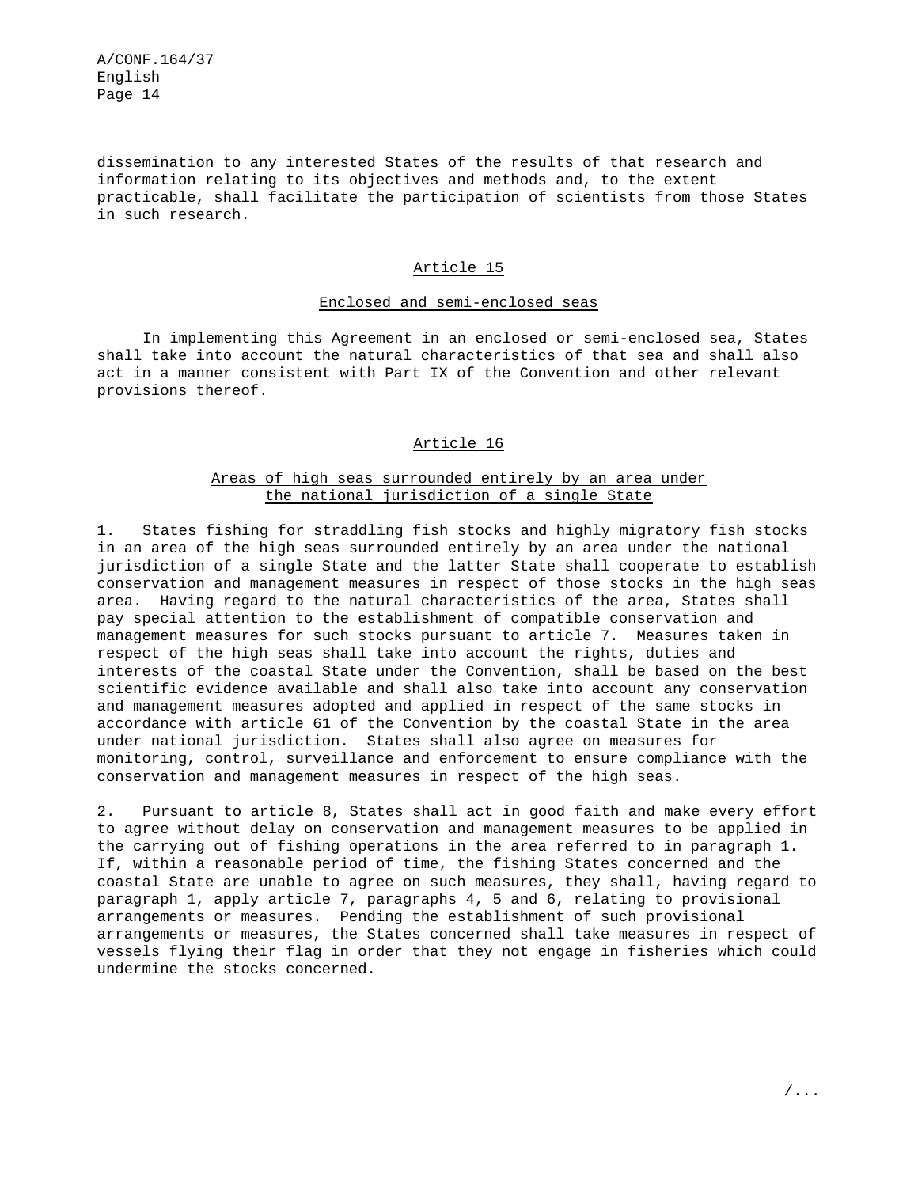dissemination to any interested States of the results of that research and information relating to its objectives and methods and, to the extent practicable, shall facilitate the participation of scientists from those States in such research.

## Article 15

## Enclosed and semi-enclosed seas

In implementing this Agreement in an enclosed or semi-enclosed sea, States shall take into account the natural characteristics of that sea and shall also act in a manner consistent with Part IX of the Convention and other relevant provisions thereof.

# Article 16

# Areas of high seas surrounded entirely by an area under the national jurisdiction of a single State

1. States fishing for straddling fish stocks and highly migratory fish stocks in an area of the high seas surrounded entirely by an area under the national jurisdiction of a single State and the latter State shall cooperate to establish conservation and management measures in respect of those stocks in the high seas area. Having regard to the natural characteristics of the area, States shall pay special attention to the establishment of compatible conservation and management measures for such stocks pursuant to article 7. Measures taken in respect of the high seas shall take into account the rights, duties and interests of the coastal State under the Convention, shall be based on the best scientific evidence available and shall also take into account any conservation and management measures adopted and applied in respect of the same stocks in accordance with article 61 of the Convention by the coastal State in the area under national jurisdiction. States shall also agree on measures for monitoring, control, surveillance and enforcement to ensure compliance with the conservation and management measures in respect of the high seas.

2. Pursuant to article 8, States shall act in good faith and make every effort to agree without delay on conservation and management measures to be applied in the carrying out of fishing operations in the area referred to in paragraph 1. If, within a reasonable period of time, the fishing States concerned and the coastal State are unable to agree on such measures, they shall, having regard to paragraph 1, apply article 7, paragraphs 4, 5 and 6, relating to provisional arrangements or measures. Pending the establishment of such provisional arrangements or measures, the States concerned shall take measures in respect of vessels flying their flag in order that they not engage in fisheries which could undermine the stocks concerned.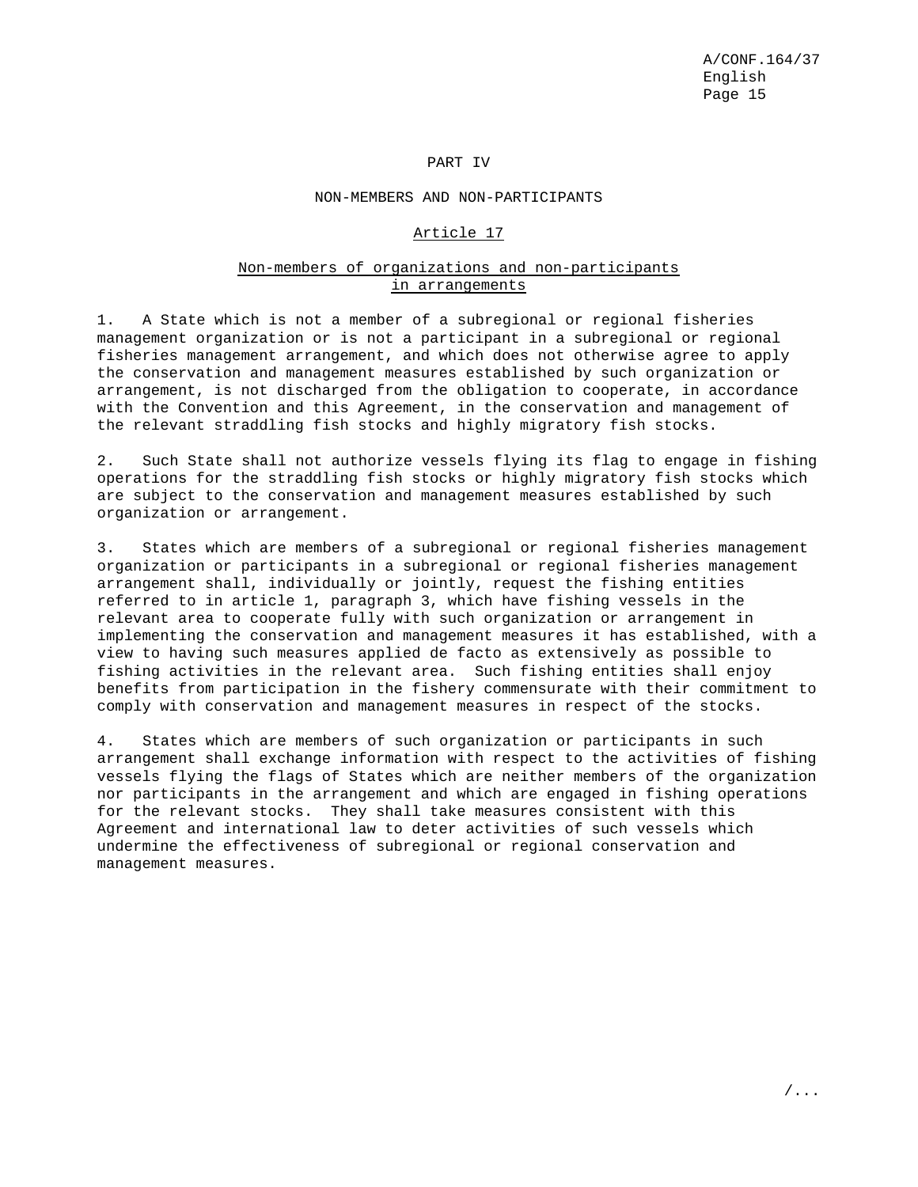# PART IV

## NON-MEMBERS AND NON-PARTICIPANTS

## Article 17

# Non-members of organizations and non-participants in arrangements

1. A State which is not a member of a subregional or regional fisheries management organization or is not a participant in a subregional or regional fisheries management arrangement, and which does not otherwise agree to apply the conservation and management measures established by such organization or arrangement, is not discharged from the obligation to cooperate, in accordance with the Convention and this Agreement, in the conservation and management of the relevant straddling fish stocks and highly migratory fish stocks.

2. Such State shall not authorize vessels flying its flag to engage in fishing operations for the straddling fish stocks or highly migratory fish stocks which are subject to the conservation and management measures established by such organization or arrangement.

3. States which are members of a subregional or regional fisheries management organization or participants in a subregional or regional fisheries management arrangement shall, individually or jointly, request the fishing entities referred to in article 1, paragraph 3, which have fishing vessels in the relevant area to cooperate fully with such organization or arrangement in implementing the conservation and management measures it has established, with a view to having such measures applied de facto as extensively as possible to fishing activities in the relevant area. Such fishing entities shall enjoy benefits from participation in the fishery commensurate with their commitment to comply with conservation and management measures in respect of the stocks.

4. States which are members of such organization or participants in such arrangement shall exchange information with respect to the activities of fishing vessels flying the flags of States which are neither members of the organization nor participants in the arrangement and which are engaged in fishing operations for the relevant stocks. They shall take measures consistent with this Agreement and international law to deter activities of such vessels which undermine the effectiveness of subregional or regional conservation and management measures.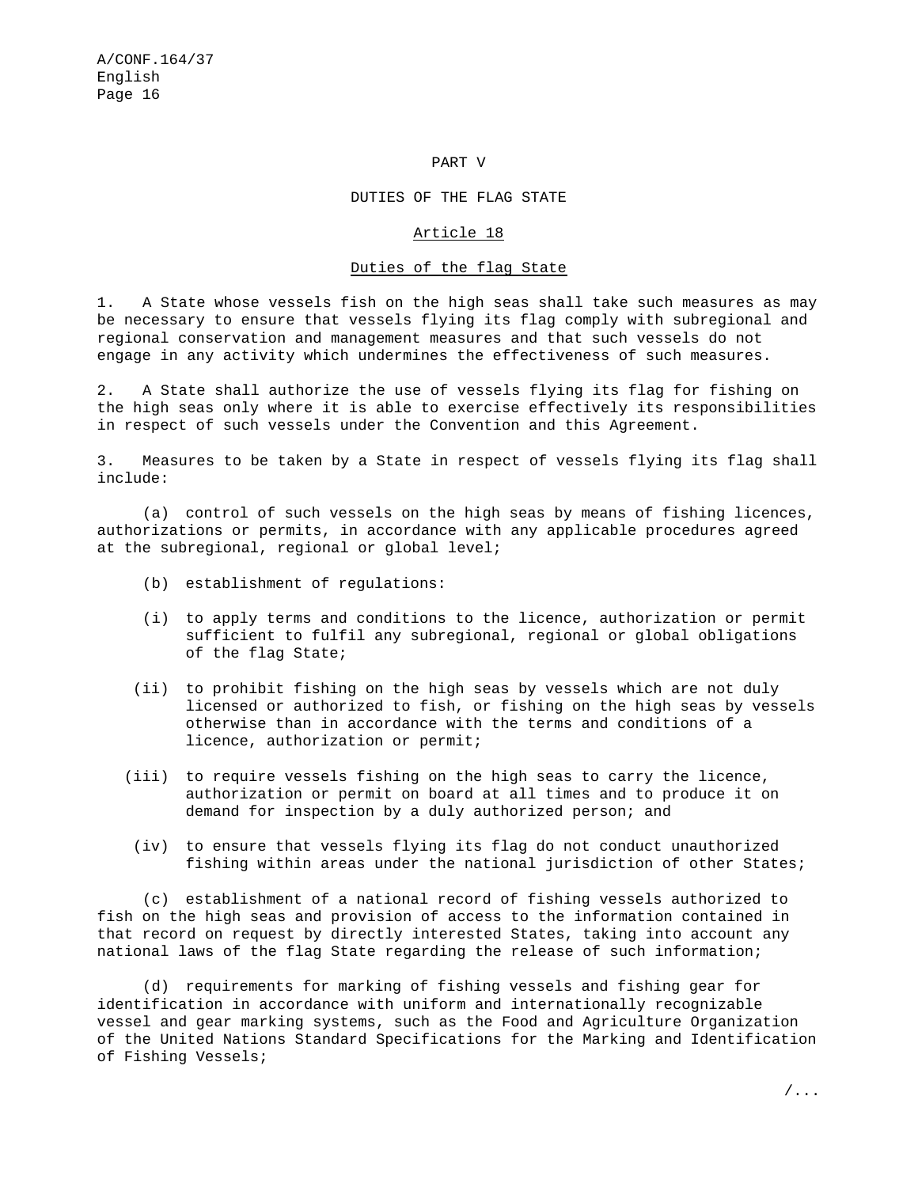## PART V

## DUTIES OF THE FLAG STATE

#### Article 18

## Duties of the flag State

1. A State whose vessels fish on the high seas shall take such measures as may be necessary to ensure that vessels flying its flag comply with subregional and regional conservation and management measures and that such vessels do not engage in any activity which undermines the effectiveness of such measures.

2. A State shall authorize the use of vessels flying its flag for fishing on the high seas only where it is able to exercise effectively its responsibilities in respect of such vessels under the Convention and this Agreement.

3. Measures to be taken by a State in respect of vessels flying its flag shall include:

(a) control of such vessels on the high seas by means of fishing licences, authorizations or permits, in accordance with any applicable procedures agreed at the subregional, regional or global level;

- (b) establishment of regulations:
- (i) to apply terms and conditions to the licence, authorization or permit sufficient to fulfil any subregional, regional or global obligations of the flag State;
- (ii) to prohibit fishing on the high seas by vessels which are not duly licensed or authorized to fish, or fishing on the high seas by vessels otherwise than in accordance with the terms and conditions of a licence, authorization or permit;
- (iii) to require vessels fishing on the high seas to carry the licence, authorization or permit on board at all times and to produce it on demand for inspection by a duly authorized person; and
- (iv) to ensure that vessels flying its flag do not conduct unauthorized fishing within areas under the national jurisdiction of other States;

(c) establishment of a national record of fishing vessels authorized to fish on the high seas and provision of access to the information contained in that record on request by directly interested States, taking into account any national laws of the flag State regarding the release of such information;

(d) requirements for marking of fishing vessels and fishing gear for identification in accordance with uniform and internationally recognizable vessel and gear marking systems, such as the Food and Agriculture Organization of the United Nations Standard Specifications for the Marking and Identification of Fishing Vessels;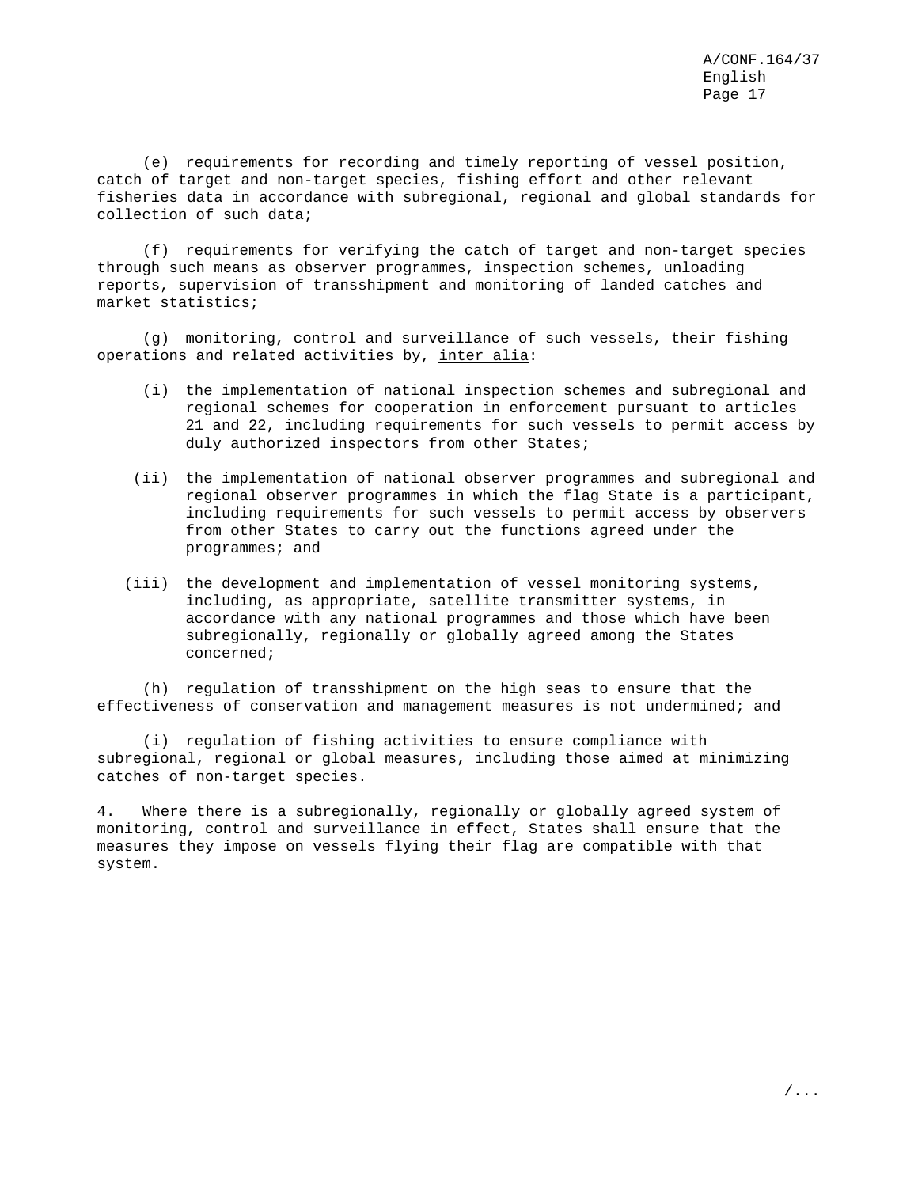(e) requirements for recording and timely reporting of vessel position, catch of target and non-target species, fishing effort and other relevant fisheries data in accordance with subregional, regional and global standards for collection of such data;

(f) requirements for verifying the catch of target and non-target species through such means as observer programmes, inspection schemes, unloading reports, supervision of transshipment and monitoring of landed catches and market statistics;

(g) monitoring, control and surveillance of such vessels, their fishing operations and related activities by, inter alia:

- (i) the implementation of national inspection schemes and subregional and regional schemes for cooperation in enforcement pursuant to articles 21 and 22, including requirements for such vessels to permit access by duly authorized inspectors from other States;
- (ii) the implementation of national observer programmes and subregional and regional observer programmes in which the flag State is a participant, including requirements for such vessels to permit access by observers from other States to carry out the functions agreed under the programmes; and
- (iii) the development and implementation of vessel monitoring systems, including, as appropriate, satellite transmitter systems, in accordance with any national programmes and those which have been subregionally, regionally or globally agreed among the States concerned;

(h) regulation of transshipment on the high seas to ensure that the effectiveness of conservation and management measures is not undermined; and

(i) regulation of fishing activities to ensure compliance with subregional, regional or global measures, including those aimed at minimizing catches of non-target species.

4. Where there is a subregionally, regionally or globally agreed system of monitoring, control and surveillance in effect, States shall ensure that the measures they impose on vessels flying their flag are compatible with that system.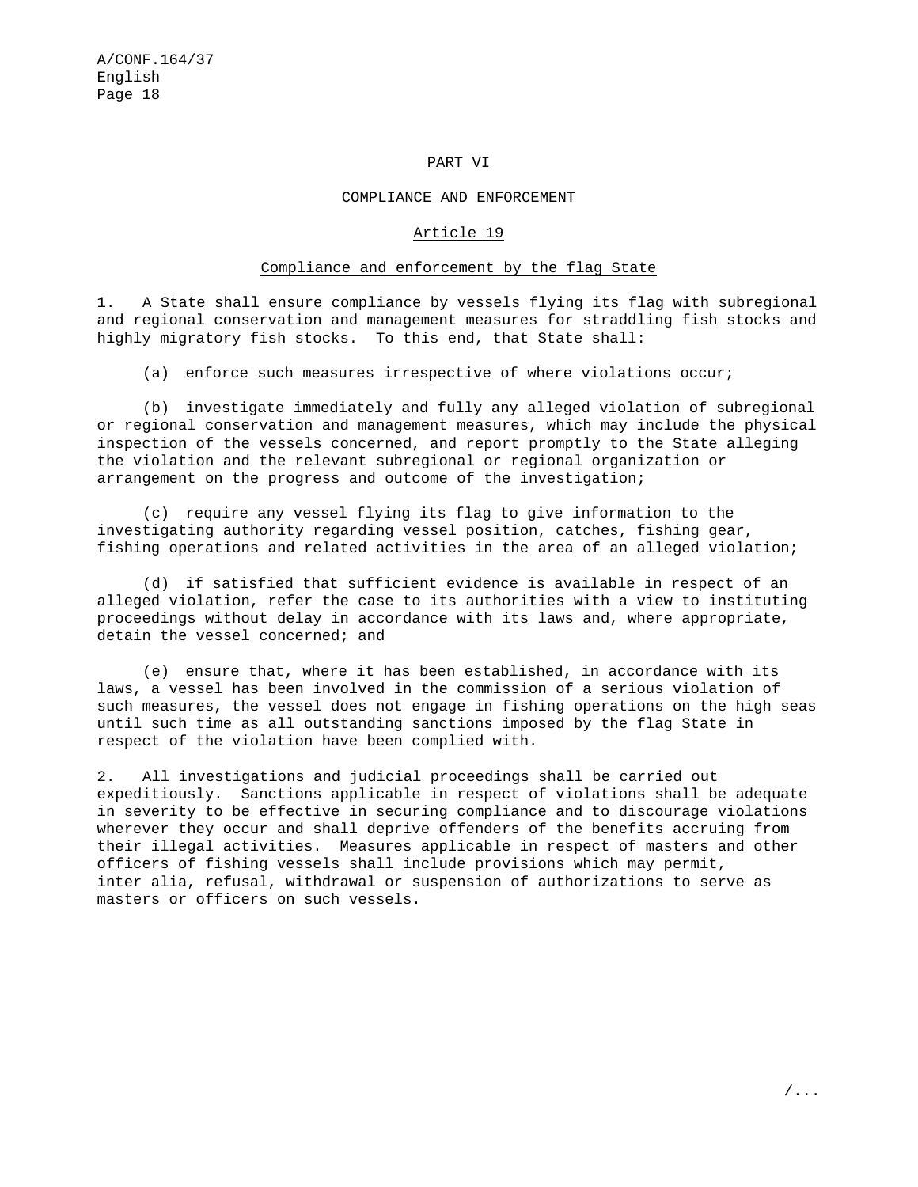## PART VI

## COMPLIANCE AND ENFORCEMENT

## Article 19

## Compliance and enforcement by the flag State

1. A State shall ensure compliance by vessels flying its flag with subregional and regional conservation and management measures for straddling fish stocks and highly migratory fish stocks. To this end, that State shall:

(a) enforce such measures irrespective of where violations occur;

(b) investigate immediately and fully any alleged violation of subregional or regional conservation and management measures, which may include the physical inspection of the vessels concerned, and report promptly to the State alleging the violation and the relevant subregional or regional organization or arrangement on the progress and outcome of the investigation;

(c) require any vessel flying its flag to give information to the investigating authority regarding vessel position, catches, fishing gear, fishing operations and related activities in the area of an alleged violation;

(d) if satisfied that sufficient evidence is available in respect of an alleged violation, refer the case to its authorities with a view to instituting proceedings without delay in accordance with its laws and, where appropriate, detain the vessel concerned; and

(e) ensure that, where it has been established, in accordance with its laws, a vessel has been involved in the commission of a serious violation of such measures, the vessel does not engage in fishing operations on the high seas until such time as all outstanding sanctions imposed by the flag State in respect of the violation have been complied with.

2. All investigations and judicial proceedings shall be carried out expeditiously. Sanctions applicable in respect of violations shall be adequate in severity to be effective in securing compliance and to discourage violations wherever they occur and shall deprive offenders of the benefits accruing from their illegal activities. Measures applicable in respect of masters and other officers of fishing vessels shall include provisions which may permit, inter alia, refusal, withdrawal or suspension of authorizations to serve as masters or officers on such vessels.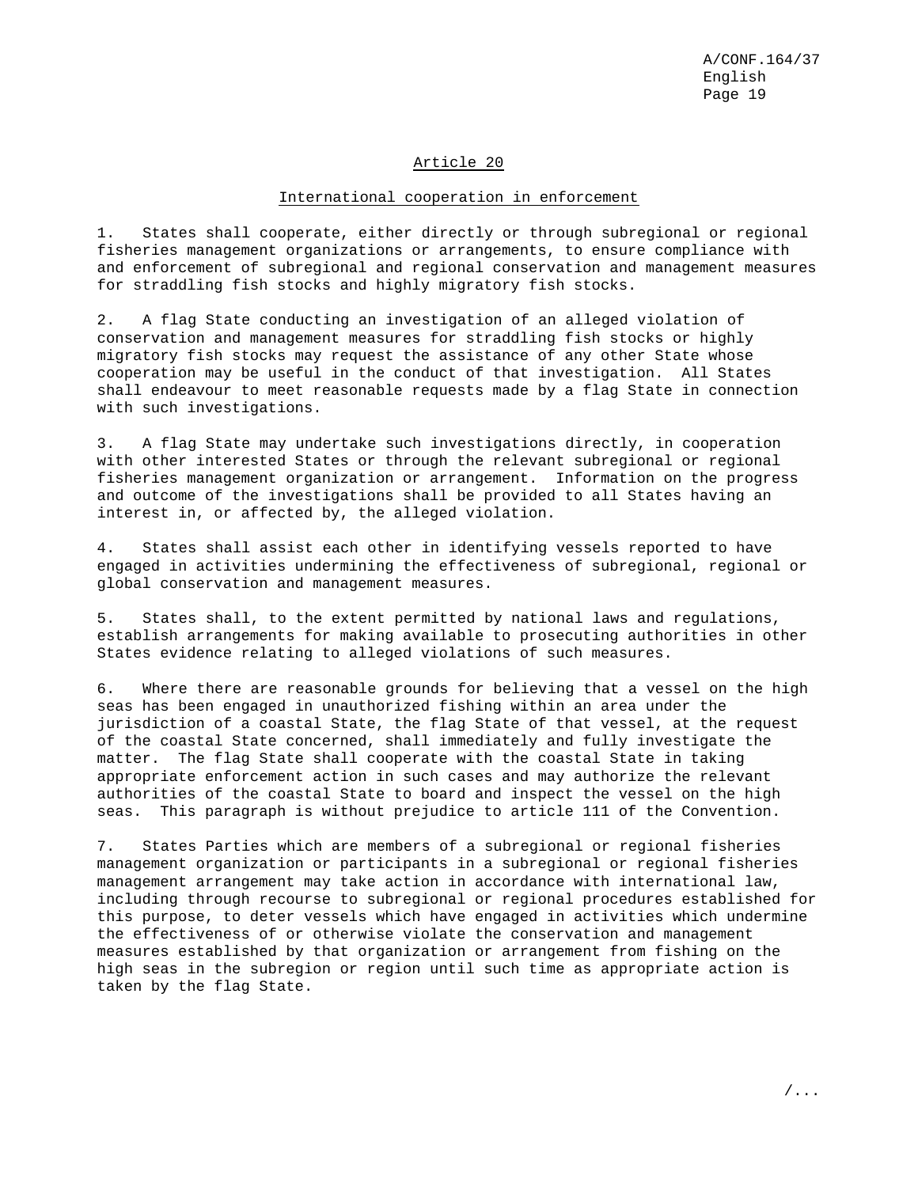# Article 20

# International cooperation in enforcement

1. States shall cooperate, either directly or through subregional or regional fisheries management organizations or arrangements, to ensure compliance with and enforcement of subregional and regional conservation and management measures for straddling fish stocks and highly migratory fish stocks.

2. A flag State conducting an investigation of an alleged violation of conservation and management measures for straddling fish stocks or highly migratory fish stocks may request the assistance of any other State whose cooperation may be useful in the conduct of that investigation. All States shall endeavour to meet reasonable requests made by a flag State in connection with such investigations.

3. A flag State may undertake such investigations directly, in cooperation with other interested States or through the relevant subregional or regional fisheries management organization or arrangement. Information on the progress and outcome of the investigations shall be provided to all States having an interest in, or affected by, the alleged violation.

4. States shall assist each other in identifying vessels reported to have engaged in activities undermining the effectiveness of subregional, regional or global conservation and management measures.

5. States shall, to the extent permitted by national laws and regulations, establish arrangements for making available to prosecuting authorities in other States evidence relating to alleged violations of such measures.

6. Where there are reasonable grounds for believing that a vessel on the high seas has been engaged in unauthorized fishing within an area under the jurisdiction of a coastal State, the flag State of that vessel, at the request of the coastal State concerned, shall immediately and fully investigate the matter. The flag State shall cooperate with the coastal State in taking appropriate enforcement action in such cases and may authorize the relevant authorities of the coastal State to board and inspect the vessel on the high seas. This paragraph is without prejudice to article 111 of the Convention.

7. States Parties which are members of a subregional or regional fisheries management organization or participants in a subregional or regional fisheries management arrangement may take action in accordance with international law, including through recourse to subregional or regional procedures established for this purpose, to deter vessels which have engaged in activities which undermine the effectiveness of or otherwise violate the conservation and management measures established by that organization or arrangement from fishing on the high seas in the subregion or region until such time as appropriate action is taken by the flag State.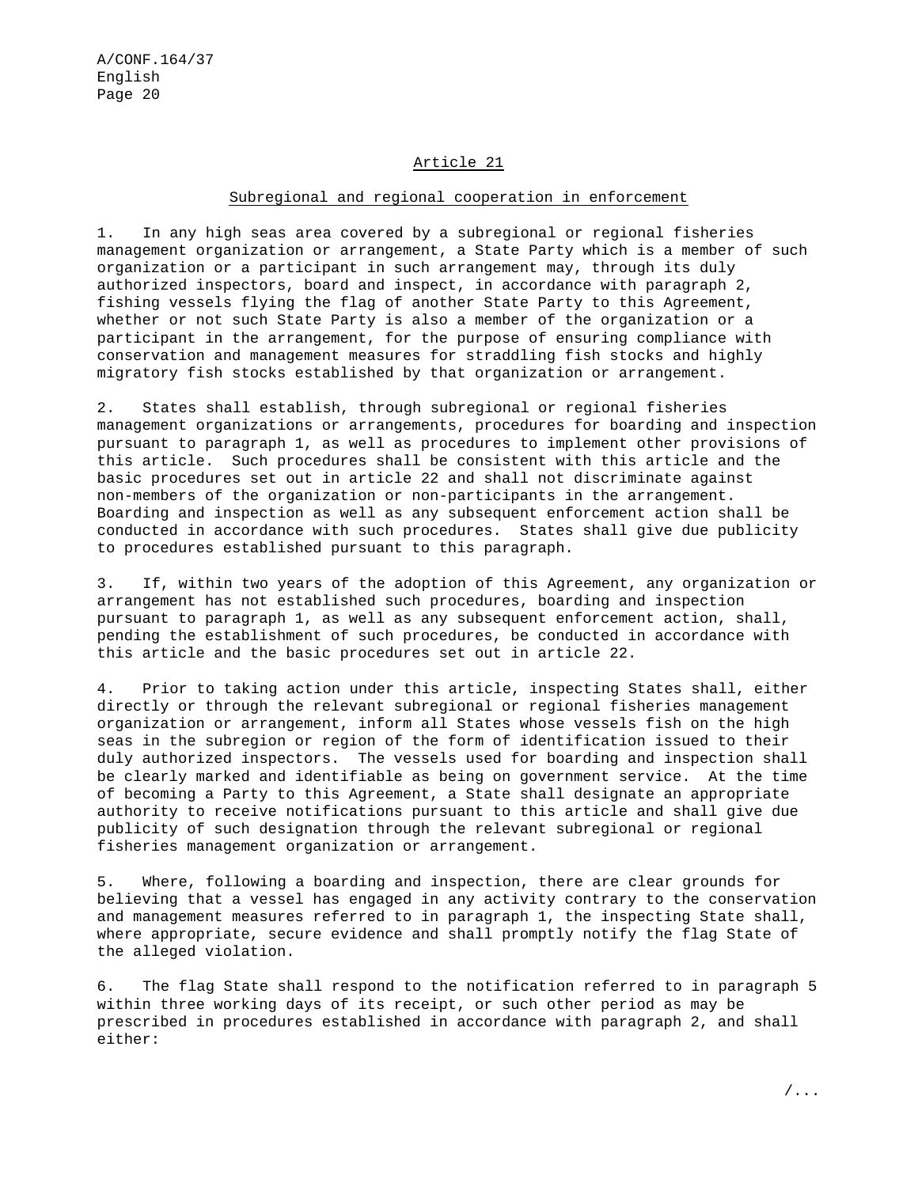# Article 21

# Subregional and regional cooperation in enforcement

1. In any high seas area covered by a subregional or regional fisheries management organization or arrangement, a State Party which is a member of such organization or a participant in such arrangement may, through its duly authorized inspectors, board and inspect, in accordance with paragraph 2, fishing vessels flying the flag of another State Party to this Agreement, whether or not such State Party is also a member of the organization or a participant in the arrangement, for the purpose of ensuring compliance with conservation and management measures for straddling fish stocks and highly migratory fish stocks established by that organization or arrangement.

2. States shall establish, through subregional or regional fisheries management organizations or arrangements, procedures for boarding and inspection pursuant to paragraph 1, as well as procedures to implement other provisions of this article. Such procedures shall be consistent with this article and the basic procedures set out in article 22 and shall not discriminate against non-members of the organization or non-participants in the arrangement. Boarding and inspection as well as any subsequent enforcement action shall be conducted in accordance with such procedures. States shall give due publicity to procedures established pursuant to this paragraph.

3. If, within two years of the adoption of this Agreement, any organization or arrangement has not established such procedures, boarding and inspection pursuant to paragraph 1, as well as any subsequent enforcement action, shall, pending the establishment of such procedures, be conducted in accordance with this article and the basic procedures set out in article 22.

4. Prior to taking action under this article, inspecting States shall, either directly or through the relevant subregional or regional fisheries management organization or arrangement, inform all States whose vessels fish on the high seas in the subregion or region of the form of identification issued to their duly authorized inspectors. The vessels used for boarding and inspection shall be clearly marked and identifiable as being on government service. At the time of becoming a Party to this Agreement, a State shall designate an appropriate authority to receive notifications pursuant to this article and shall give due publicity of such designation through the relevant subregional or regional fisheries management organization or arrangement.

5. Where, following a boarding and inspection, there are clear grounds for believing that a vessel has engaged in any activity contrary to the conservation and management measures referred to in paragraph 1, the inspecting State shall, where appropriate, secure evidence and shall promptly notify the flag State of the alleged violation.

6. The flag State shall respond to the notification referred to in paragraph 5 within three working days of its receipt, or such other period as may be prescribed in procedures established in accordance with paragraph 2, and shall either: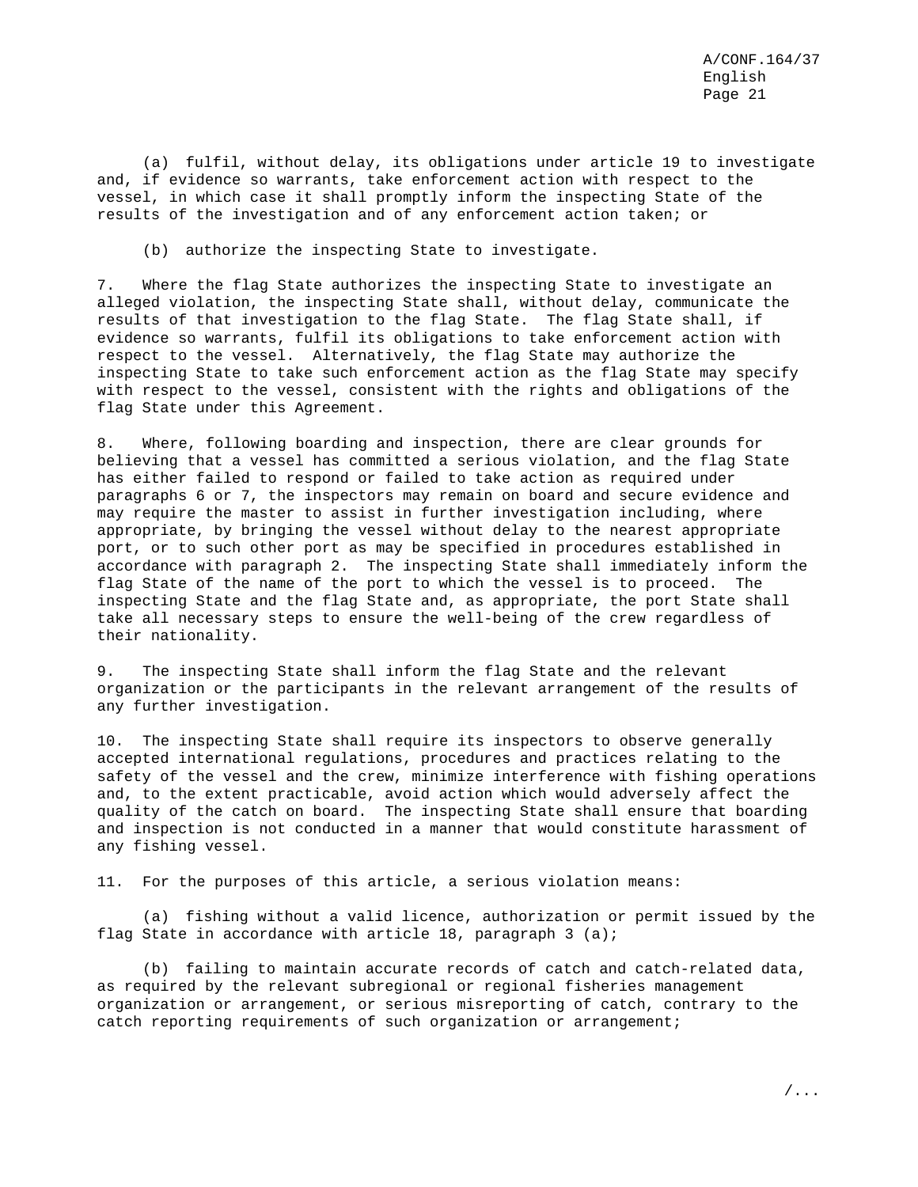(a) fulfil, without delay, its obligations under article 19 to investigate and, if evidence so warrants, take enforcement action with respect to the vessel, in which case it shall promptly inform the inspecting State of the results of the investigation and of any enforcement action taken; or

(b) authorize the inspecting State to investigate.

7. Where the flag State authorizes the inspecting State to investigate an alleged violation, the inspecting State shall, without delay, communicate the results of that investigation to the flag State. The flag State shall, if evidence so warrants, fulfil its obligations to take enforcement action with respect to the vessel. Alternatively, the flag State may authorize the inspecting State to take such enforcement action as the flag State may specify with respect to the vessel, consistent with the rights and obligations of the flag State under this Agreement.

8. Where, following boarding and inspection, there are clear grounds for believing that a vessel has committed a serious violation, and the flag State has either failed to respond or failed to take action as required under paragraphs 6 or 7, the inspectors may remain on board and secure evidence and may require the master to assist in further investigation including, where appropriate, by bringing the vessel without delay to the nearest appropriate port, or to such other port as may be specified in procedures established in accordance with paragraph 2. The inspecting State shall immediately inform the flag State of the name of the port to which the vessel is to proceed. The inspecting State and the flag State and, as appropriate, the port State shall take all necessary steps to ensure the well-being of the crew regardless of their nationality.

9. The inspecting State shall inform the flag State and the relevant organization or the participants in the relevant arrangement of the results of any further investigation.

10. The inspecting State shall require its inspectors to observe generally accepted international regulations, procedures and practices relating to the safety of the vessel and the crew, minimize interference with fishing operations and, to the extent practicable, avoid action which would adversely affect the quality of the catch on board. The inspecting State shall ensure that boarding and inspection is not conducted in a manner that would constitute harassment of any fishing vessel.

11. For the purposes of this article, a serious violation means:

(a) fishing without a valid licence, authorization or permit issued by the flag State in accordance with article 18, paragraph 3 (a);

(b) failing to maintain accurate records of catch and catch-related data, as required by the relevant subregional or regional fisheries management organization or arrangement, or serious misreporting of catch, contrary to the catch reporting requirements of such organization or arrangement;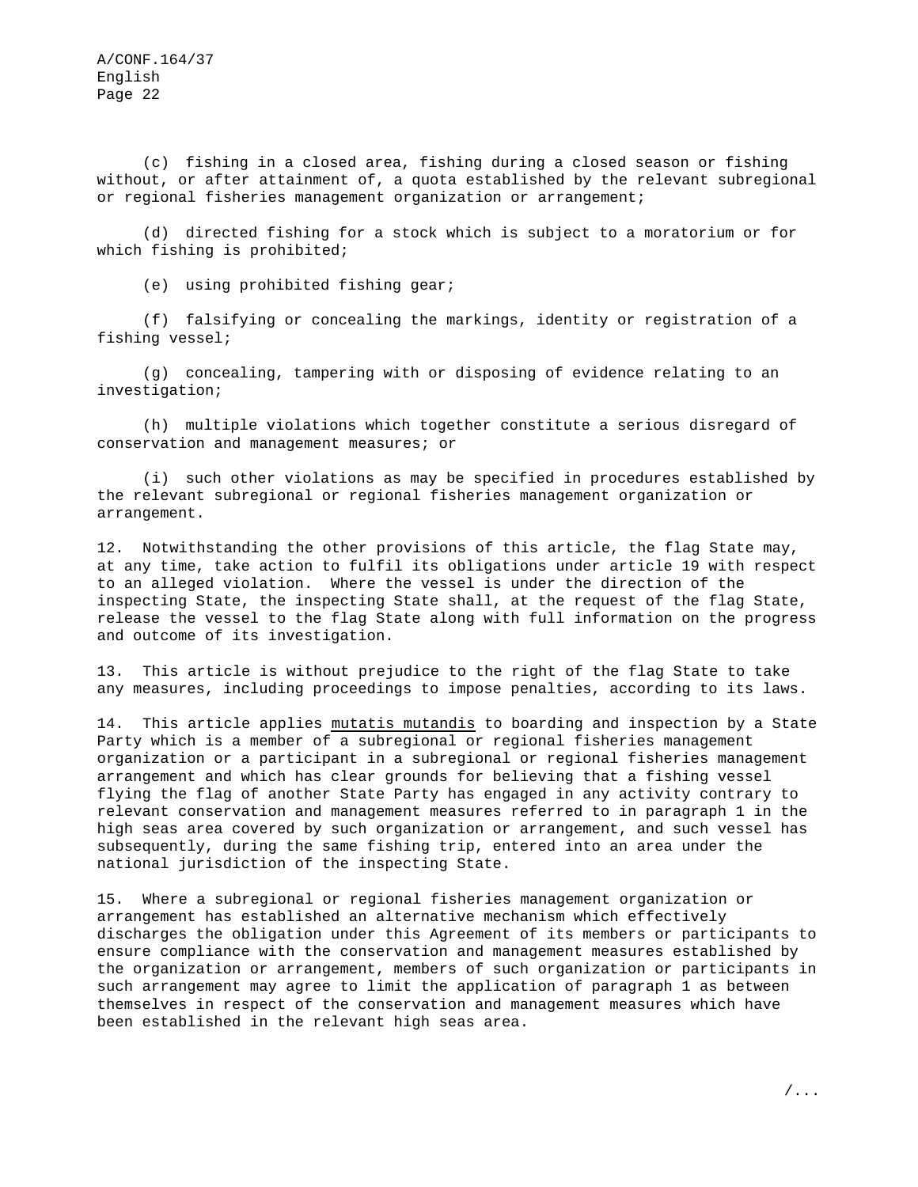(c) fishing in a closed area, fishing during a closed season or fishing without, or after attainment of, a quota established by the relevant subregional or regional fisheries management organization or arrangement;

(d) directed fishing for a stock which is subject to a moratorium or for which fishing is prohibited;

(e) using prohibited fishing gear;

(f) falsifying or concealing the markings, identity or registration of a fishing vessel;

(g) concealing, tampering with or disposing of evidence relating to an investigation;

(h) multiple violations which together constitute a serious disregard of conservation and management measures; or

(i) such other violations as may be specified in procedures established by the relevant subregional or regional fisheries management organization or arrangement.

12. Notwithstanding the other provisions of this article, the flag State may, at any time, take action to fulfil its obligations under article 19 with respect to an alleged violation. Where the vessel is under the direction of the inspecting State, the inspecting State shall, at the request of the flag State, release the vessel to the flag State along with full information on the progress and outcome of its investigation.

13. This article is without prejudice to the right of the flag State to take any measures, including proceedings to impose penalties, according to its laws.

14. This article applies mutatis mutandis to boarding and inspection by a State Party which is a member of a subregional or regional fisheries management organization or a participant in a subregional or regional fisheries management arrangement and which has clear grounds for believing that a fishing vessel flying the flag of another State Party has engaged in any activity contrary to relevant conservation and management measures referred to in paragraph 1 in the high seas area covered by such organization or arrangement, and such vessel has subsequently, during the same fishing trip, entered into an area under the national jurisdiction of the inspecting State.

15. Where a subregional or regional fisheries management organization or arrangement has established an alternative mechanism which effectively discharges the obligation under this Agreement of its members or participants to ensure compliance with the conservation and management measures established by the organization or arrangement, members of such organization or participants in such arrangement may agree to limit the application of paragraph 1 as between themselves in respect of the conservation and management measures which have been established in the relevant high seas area.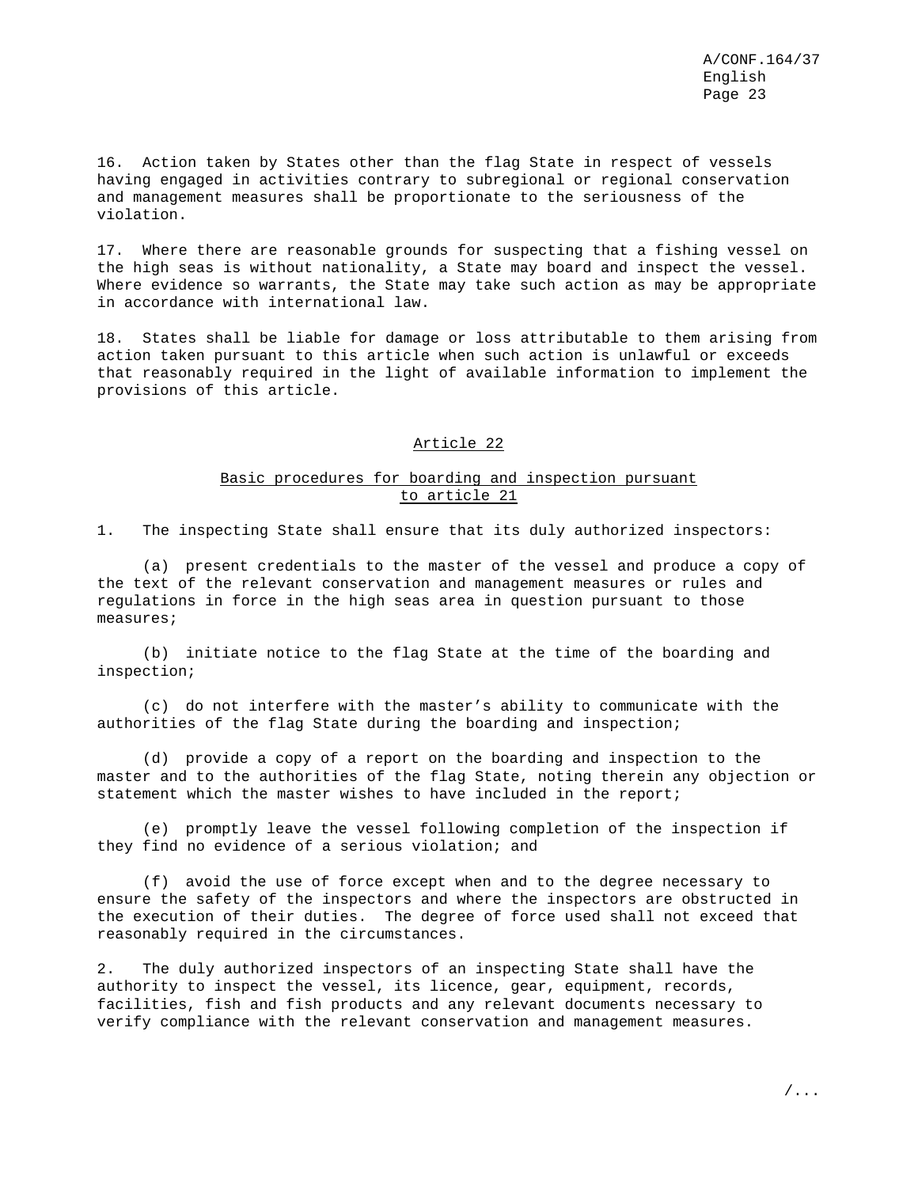16. Action taken by States other than the flag State in respect of vessels having engaged in activities contrary to subregional or regional conservation and management measures shall be proportionate to the seriousness of the violation.

17. Where there are reasonable grounds for suspecting that a fishing vessel on the high seas is without nationality, a State may board and inspect the vessel. Where evidence so warrants, the State may take such action as may be appropriate in accordance with international law.

18. States shall be liable for damage or loss attributable to them arising from action taken pursuant to this article when such action is unlawful or exceeds that reasonably required in the light of available information to implement the provisions of this article.

# Article 22

# Basic procedures for boarding and inspection pursuant to article 21

1. The inspecting State shall ensure that its duly authorized inspectors:

(a) present credentials to the master of the vessel and produce a copy of the text of the relevant conservation and management measures or rules and regulations in force in the high seas area in question pursuant to those measures;

(b) initiate notice to the flag State at the time of the boarding and inspection;

(c) do not interfere with the master's ability to communicate with the authorities of the flag State during the boarding and inspection;

(d) provide a copy of a report on the boarding and inspection to the master and to the authorities of the flag State, noting therein any objection or statement which the master wishes to have included in the report;

(e) promptly leave the vessel following completion of the inspection if they find no evidence of a serious violation; and

(f) avoid the use of force except when and to the degree necessary to ensure the safety of the inspectors and where the inspectors are obstructed in the execution of their duties. The degree of force used shall not exceed that reasonably required in the circumstances.

2. The duly authorized inspectors of an inspecting State shall have the authority to inspect the vessel, its licence, gear, equipment, records, facilities, fish and fish products and any relevant documents necessary to verify compliance with the relevant conservation and management measures.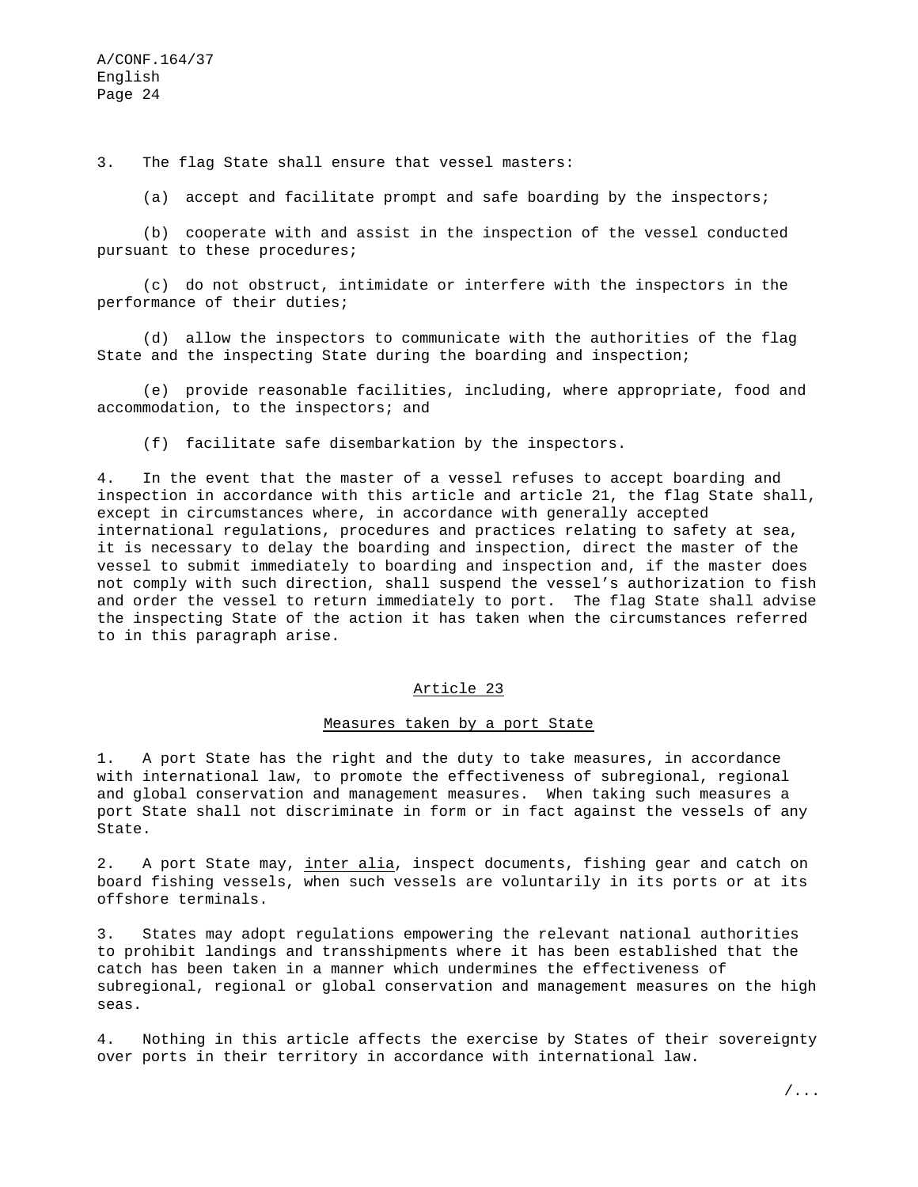3. The flag State shall ensure that vessel masters:

(a) accept and facilitate prompt and safe boarding by the inspectors;

(b) cooperate with and assist in the inspection of the vessel conducted pursuant to these procedures;

(c) do not obstruct, intimidate or interfere with the inspectors in the performance of their duties;

(d) allow the inspectors to communicate with the authorities of the flag State and the inspecting State during the boarding and inspection;

(e) provide reasonable facilities, including, where appropriate, food and accommodation, to the inspectors; and

(f) facilitate safe disembarkation by the inspectors.

4. In the event that the master of a vessel refuses to accept boarding and inspection in accordance with this article and article 21, the flag State shall, except in circumstances where, in accordance with generally accepted international regulations, procedures and practices relating to safety at sea, it is necessary to delay the boarding and inspection, direct the master of the vessel to submit immediately to boarding and inspection and, if the master does not comply with such direction, shall suspend the vessel's authorization to fish and order the vessel to return immediately to port. The flag State shall advise the inspecting State of the action it has taken when the circumstances referred to in this paragraph arise.

## Article 23

# Measures taken by a port State

1. A port State has the right and the duty to take measures, in accordance with international law, to promote the effectiveness of subregional, regional and global conservation and management measures. When taking such measures a port State shall not discriminate in form or in fact against the vessels of any State.

2. A port State may, inter alia, inspect documents, fishing gear and catch on board fishing vessels, when such vessels are voluntarily in its ports or at its offshore terminals.

3. States may adopt regulations empowering the relevant national authorities to prohibit landings and transshipments where it has been established that the catch has been taken in a manner which undermines the effectiveness of subregional, regional or global conservation and management measures on the high seas.

4. Nothing in this article affects the exercise by States of their sovereignty over ports in their territory in accordance with international law.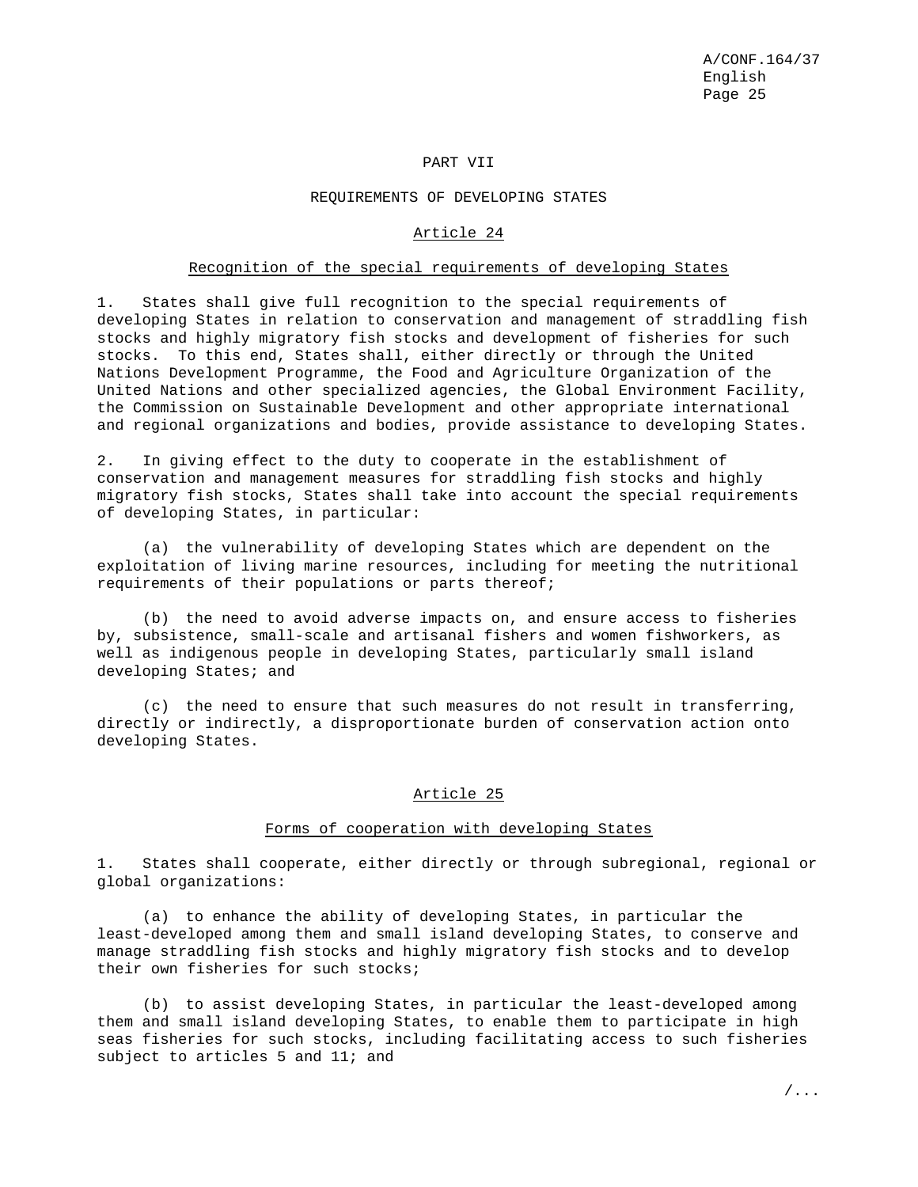## PART VII

# REQUIREMENTS OF DEVELOPING STATES

## Article 24

## Recognition of the special requirements of developing States

1. States shall give full recognition to the special requirements of developing States in relation to conservation and management of straddling fish stocks and highly migratory fish stocks and development of fisheries for such stocks. To this end, States shall, either directly or through the United Nations Development Programme, the Food and Agriculture Organization of the United Nations and other specialized agencies, the Global Environment Facility, the Commission on Sustainable Development and other appropriate international and regional organizations and bodies, provide assistance to developing States.

2. In giving effect to the duty to cooperate in the establishment of conservation and management measures for straddling fish stocks and highly migratory fish stocks, States shall take into account the special requirements of developing States, in particular:

(a) the vulnerability of developing States which are dependent on the exploitation of living marine resources, including for meeting the nutritional requirements of their populations or parts thereof;

(b) the need to avoid adverse impacts on, and ensure access to fisheries by, subsistence, small-scale and artisanal fishers and women fishworkers, as well as indigenous people in developing States, particularly small island developing States; and

(c) the need to ensure that such measures do not result in transferring, directly or indirectly, a disproportionate burden of conservation action onto developing States.

## Article 25

### Forms of cooperation with developing States

1. States shall cooperate, either directly or through subregional, regional or global organizations:

(a) to enhance the ability of developing States, in particular the least-developed among them and small island developing States, to conserve and manage straddling fish stocks and highly migratory fish stocks and to develop their own fisheries for such stocks;

(b) to assist developing States, in particular the least-developed among them and small island developing States, to enable them to participate in high seas fisheries for such stocks, including facilitating access to such fisheries subject to articles 5 and 11; and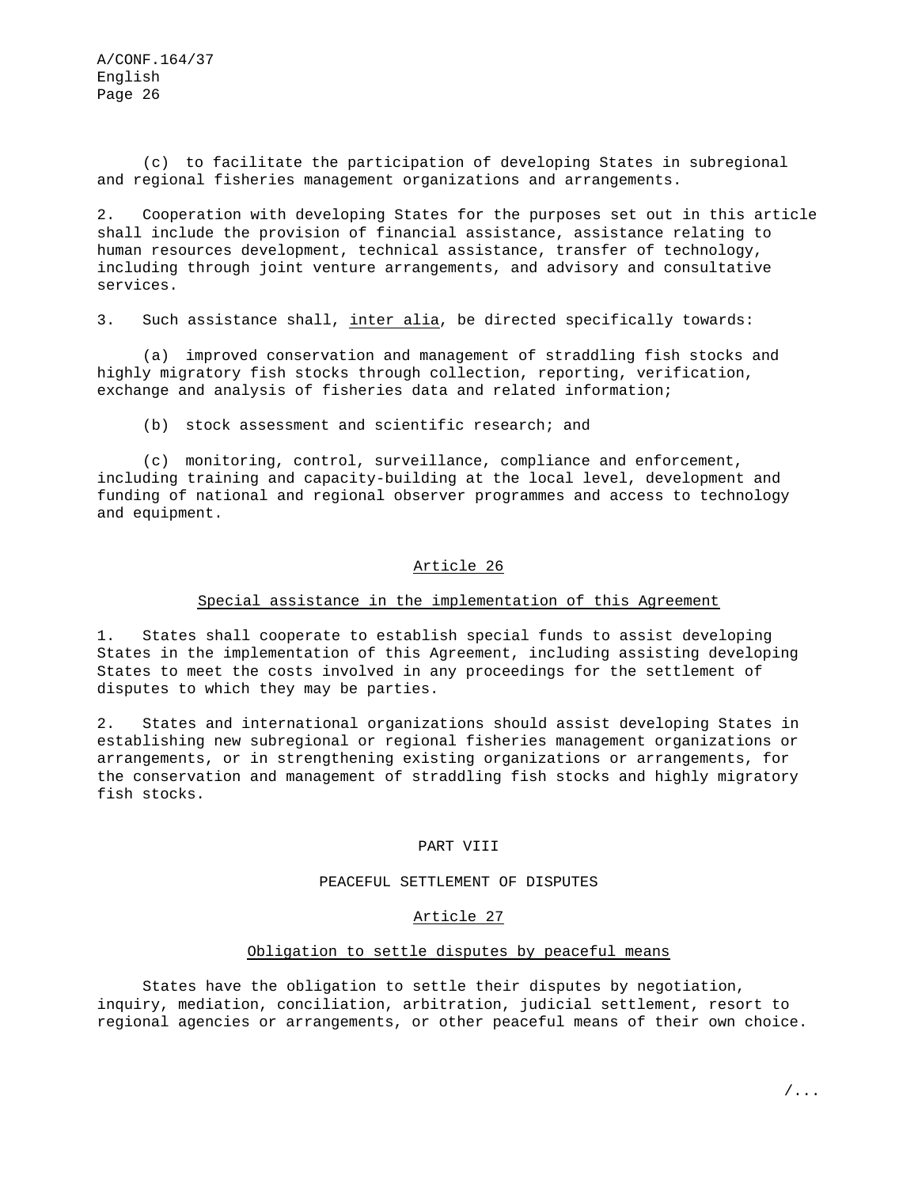(c) to facilitate the participation of developing States in subregional and regional fisheries management organizations and arrangements.

2. Cooperation with developing States for the purposes set out in this article shall include the provision of financial assistance, assistance relating to human resources development, technical assistance, transfer of technology, including through joint venture arrangements, and advisory and consultative services.

3. Such assistance shall, inter alia, be directed specifically towards:

(a) improved conservation and management of straddling fish stocks and highly migratory fish stocks through collection, reporting, verification, exchange and analysis of fisheries data and related information;

(b) stock assessment and scientific research; and

(c) monitoring, control, surveillance, compliance and enforcement, including training and capacity-building at the local level, development and funding of national and regional observer programmes and access to technology and equipment.

# Article 26

## Special assistance in the implementation of this Agreement

1. States shall cooperate to establish special funds to assist developing States in the implementation of this Agreement, including assisting developing States to meet the costs involved in any proceedings for the settlement of disputes to which they may be parties.

2. States and international organizations should assist developing States in establishing new subregional or regional fisheries management organizations or arrangements, or in strengthening existing organizations or arrangements, for the conservation and management of straddling fish stocks and highly migratory fish stocks.

### PART VIII

## PEACEFUL SETTLEMENT OF DISPUTES

#### Article 27

#### Obligation to settle disputes by peaceful means

States have the obligation to settle their disputes by negotiation, inquiry, mediation, conciliation, arbitration, judicial settlement, resort to regional agencies or arrangements, or other peaceful means of their own choice.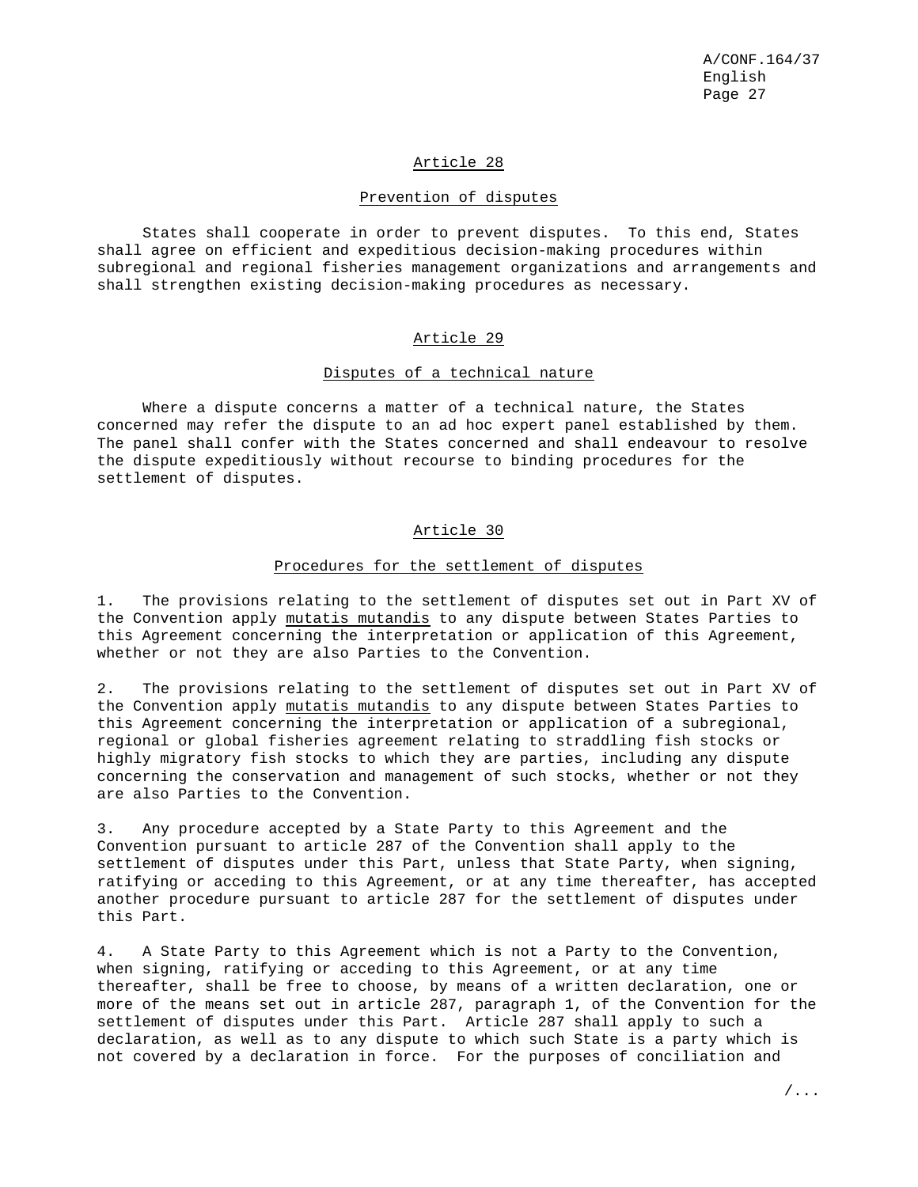# Article 28

# Prevention of disputes

States shall cooperate in order to prevent disputes. To this end, States shall agree on efficient and expeditious decision-making procedures within subregional and regional fisheries management organizations and arrangements and shall strengthen existing decision-making procedures as necessary.

# Article 29

## Disputes of a technical nature

Where a dispute concerns a matter of a technical nature, the States concerned may refer the dispute to an ad hoc expert panel established by them. The panel shall confer with the States concerned and shall endeavour to resolve the dispute expeditiously without recourse to binding procedures for the settlement of disputes.

# Article 30

## Procedures for the settlement of disputes

1. The provisions relating to the settlement of disputes set out in Part XV of the Convention apply mutatis mutandis to any dispute between States Parties to this Agreement concerning the interpretation or application of this Agreement, whether or not they are also Parties to the Convention.

2. The provisions relating to the settlement of disputes set out in Part XV of the Convention apply mutatis mutandis to any dispute between States Parties to this Agreement concerning the interpretation or application of a subregional, regional or global fisheries agreement relating to straddling fish stocks or highly migratory fish stocks to which they are parties, including any dispute concerning the conservation and management of such stocks, whether or not they are also Parties to the Convention.

3. Any procedure accepted by a State Party to this Agreement and the Convention pursuant to article 287 of the Convention shall apply to the settlement of disputes under this Part, unless that State Party, when signing, ratifying or acceding to this Agreement, or at any time thereafter, has accepted another procedure pursuant to article 287 for the settlement of disputes under this Part.

4. A State Party to this Agreement which is not a Party to the Convention, when signing, ratifying or acceding to this Agreement, or at any time thereafter, shall be free to choose, by means of a written declaration, one or more of the means set out in article 287, paragraph 1, of the Convention for the settlement of disputes under this Part. Article 287 shall apply to such a declaration, as well as to any dispute to which such State is a party which is not covered by a declaration in force. For the purposes of conciliation and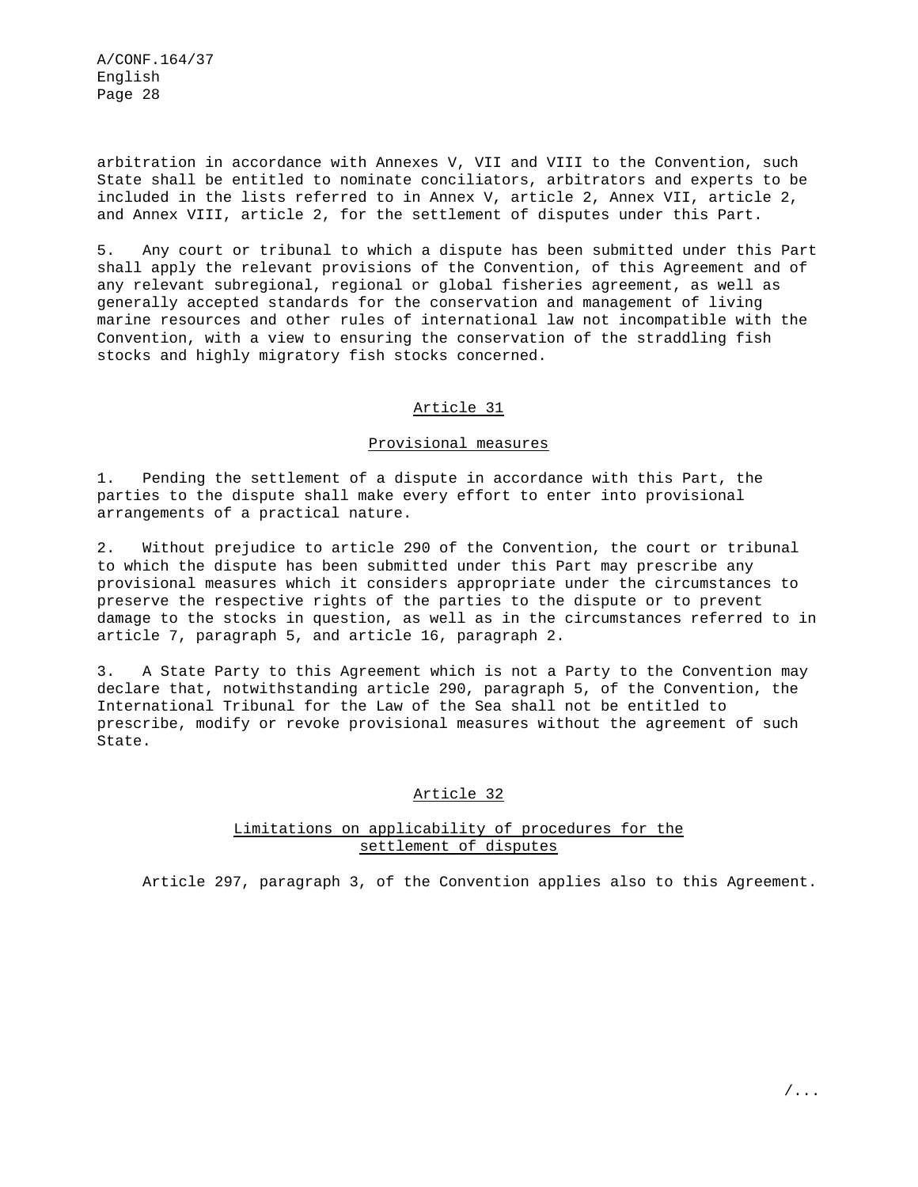arbitration in accordance with Annexes V, VII and VIII to the Convention, such State shall be entitled to nominate conciliators, arbitrators and experts to be included in the lists referred to in Annex V, article 2, Annex VII, article 2, and Annex VIII, article 2, for the settlement of disputes under this Part.

5. Any court or tribunal to which a dispute has been submitted under this Part shall apply the relevant provisions of the Convention, of this Agreement and of any relevant subregional, regional or global fisheries agreement, as well as generally accepted standards for the conservation and management of living marine resources and other rules of international law not incompatible with the Convention, with a view to ensuring the conservation of the straddling fish stocks and highly migratory fish stocks concerned.

# Article 31

# Provisional measures

1. Pending the settlement of a dispute in accordance with this Part, the parties to the dispute shall make every effort to enter into provisional arrangements of a practical nature.

2. Without prejudice to article 290 of the Convention, the court or tribunal to which the dispute has been submitted under this Part may prescribe any provisional measures which it considers appropriate under the circumstances to preserve the respective rights of the parties to the dispute or to prevent damage to the stocks in question, as well as in the circumstances referred to in article 7, paragraph 5, and article 16, paragraph 2.

3. A State Party to this Agreement which is not a Party to the Convention may declare that, notwithstanding article 290, paragraph 5, of the Convention, the International Tribunal for the Law of the Sea shall not be entitled to prescribe, modify or revoke provisional measures without the agreement of such State.

# Article 32

# Limitations on applicability of procedures for the settlement of disputes

Article 297, paragraph 3, of the Convention applies also to this Agreement.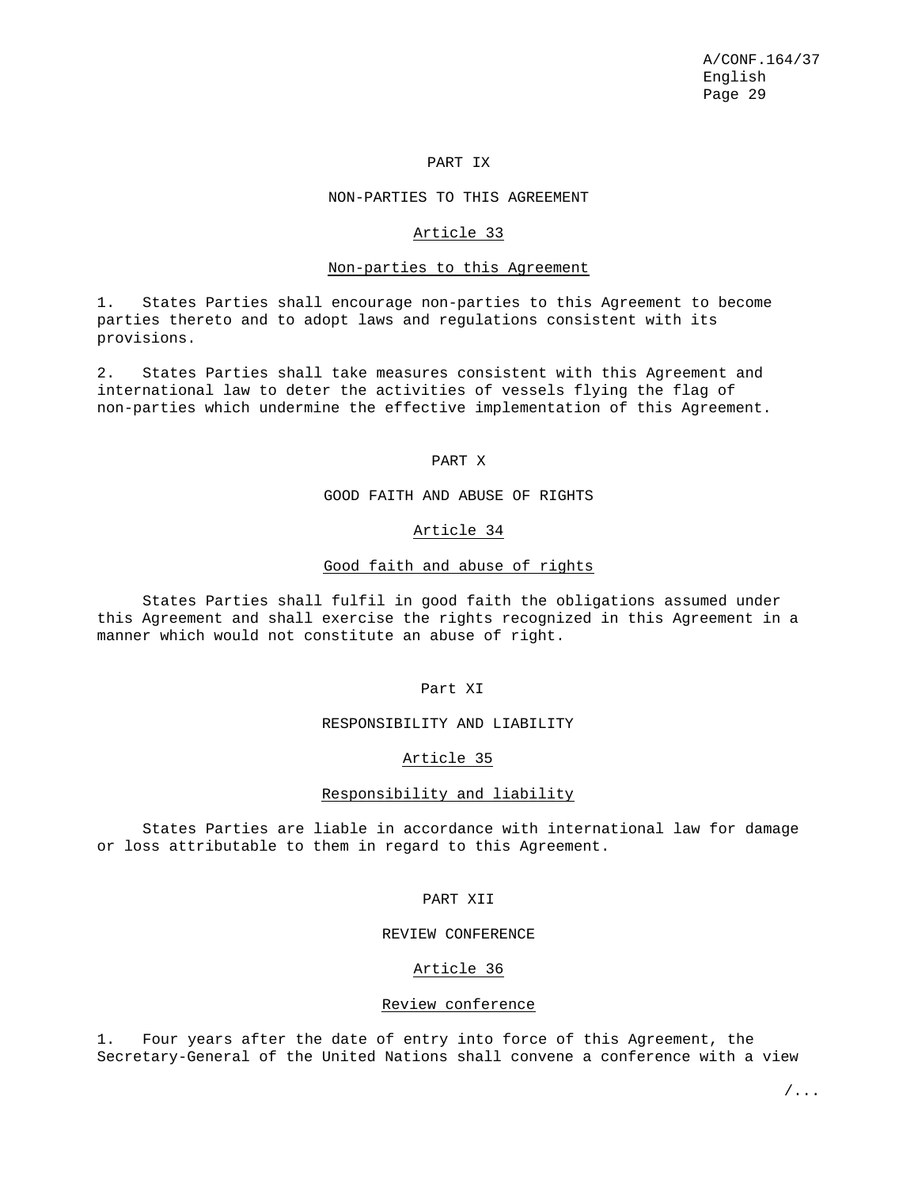## PART IX

# NON-PARTIES TO THIS AGREEMENT

#### Article 33

### Non-parties to this Agreement

1. States Parties shall encourage non-parties to this Agreement to become parties thereto and to adopt laws and regulations consistent with its provisions.

2. States Parties shall take measures consistent with this Agreement and international law to deter the activities of vessels flying the flag of non-parties which undermine the effective implementation of this Agreement.

# PART X

# GOOD FAITH AND ABUSE OF RIGHTS

# Article 34

# Good faith and abuse of rights

States Parties shall fulfil in good faith the obligations assumed under this Agreement and shall exercise the rights recognized in this Agreement in a manner which would not constitute an abuse of right.

## Part XI

## RESPONSIBILITY AND LIABILITY

## Article 35

## Responsibility and liability

States Parties are liable in accordance with international law for damage or loss attributable to them in regard to this Agreement.

# PART XII

#### REVIEW CONFERENCE

#### Article 36

# Review conference

1. Four years after the date of entry into force of this Agreement, the Secretary-General of the United Nations shall convene a conference with a view

/...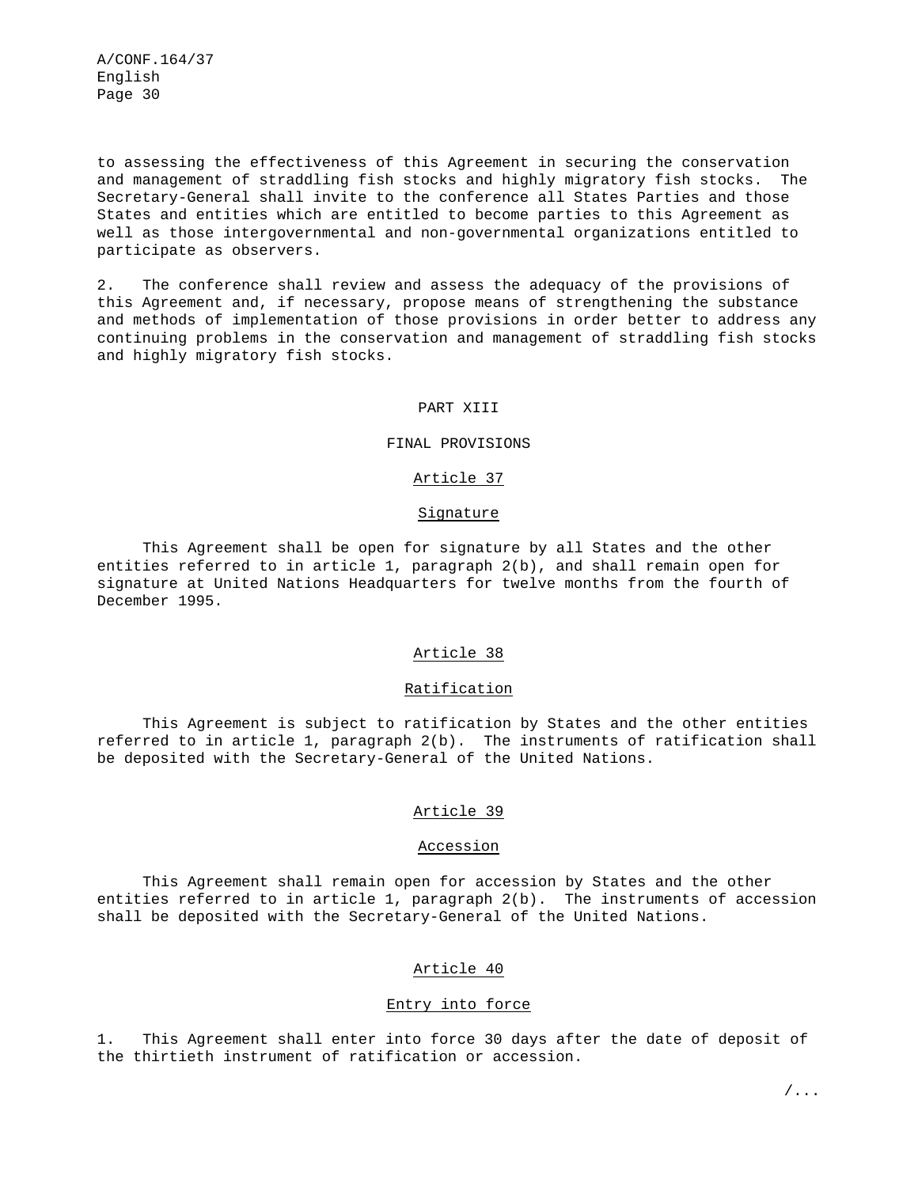to assessing the effectiveness of this Agreement in securing the conservation and management of straddling fish stocks and highly migratory fish stocks. The Secretary-General shall invite to the conference all States Parties and those States and entities which are entitled to become parties to this Agreement as well as those intergovernmental and non-governmental organizations entitled to participate as observers.

2. The conference shall review and assess the adequacy of the provisions of this Agreement and, if necessary, propose means of strengthening the substance and methods of implementation of those provisions in order better to address any continuing problems in the conservation and management of straddling fish stocks and highly migratory fish stocks.

#### PART XIII

#### FINAL PROVISIONS

# Article 37

## Signature

This Agreement shall be open for signature by all States and the other entities referred to in article 1, paragraph 2(b), and shall remain open for signature at United Nations Headquarters for twelve months from the fourth of December 1995.

## Article 38

#### Ratification

This Agreement is subject to ratification by States and the other entities referred to in article 1, paragraph 2(b). The instruments of ratification shall be deposited with the Secretary-General of the United Nations.

# Article 39

#### Accession

This Agreement shall remain open for accession by States and the other entities referred to in article 1, paragraph 2(b). The instruments of accession shall be deposited with the Secretary-General of the United Nations.

#### Article 40

# Entry into force

1. This Agreement shall enter into force 30 days after the date of deposit of the thirtieth instrument of ratification or accession.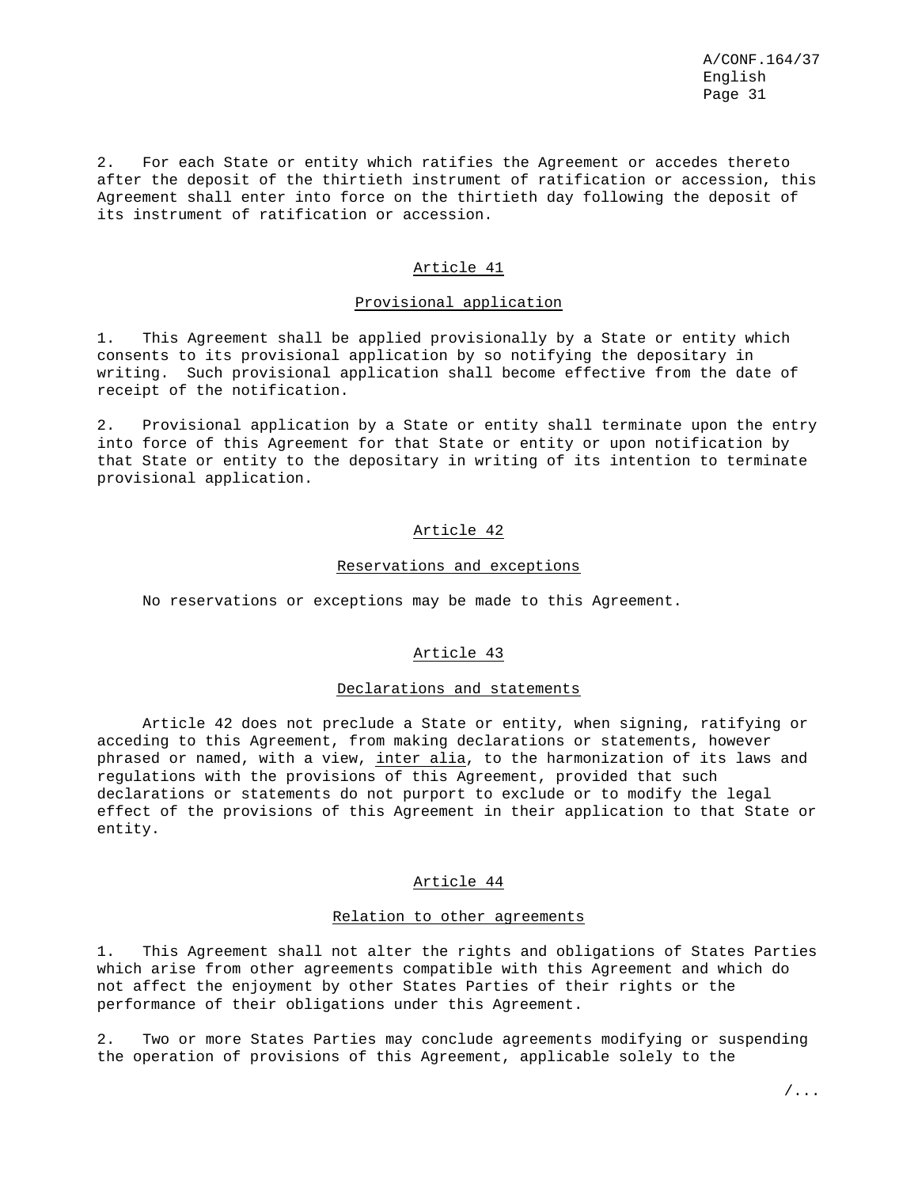2. For each State or entity which ratifies the Agreement or accedes thereto after the deposit of the thirtieth instrument of ratification or accession, this Agreement shall enter into force on the thirtieth day following the deposit of its instrument of ratification or accession.

## Article 41

## Provisional application

1. This Agreement shall be applied provisionally by a State or entity which consents to its provisional application by so notifying the depositary in writing. Such provisional application shall become effective from the date of receipt of the notification.

2. Provisional application by a State or entity shall terminate upon the entry into force of this Agreement for that State or entity or upon notification by that State or entity to the depositary in writing of its intention to terminate provisional application.

## Article 42

## Reservations and exceptions

No reservations or exceptions may be made to this Agreement.

# Article 43

#### Declarations and statements

Article 42 does not preclude a State or entity, when signing, ratifying or acceding to this Agreement, from making declarations or statements, however phrased or named, with a view, inter alia, to the harmonization of its laws and regulations with the provisions of this Agreement, provided that such declarations or statements do not purport to exclude or to modify the legal effect of the provisions of this Agreement in their application to that State or entity.

#### Article 44

## Relation to other agreements

1. This Agreement shall not alter the rights and obligations of States Parties which arise from other agreements compatible with this Agreement and which do not affect the enjoyment by other States Parties of their rights or the performance of their obligations under this Agreement.

2. Two or more States Parties may conclude agreements modifying or suspending the operation of provisions of this Agreement, applicable solely to the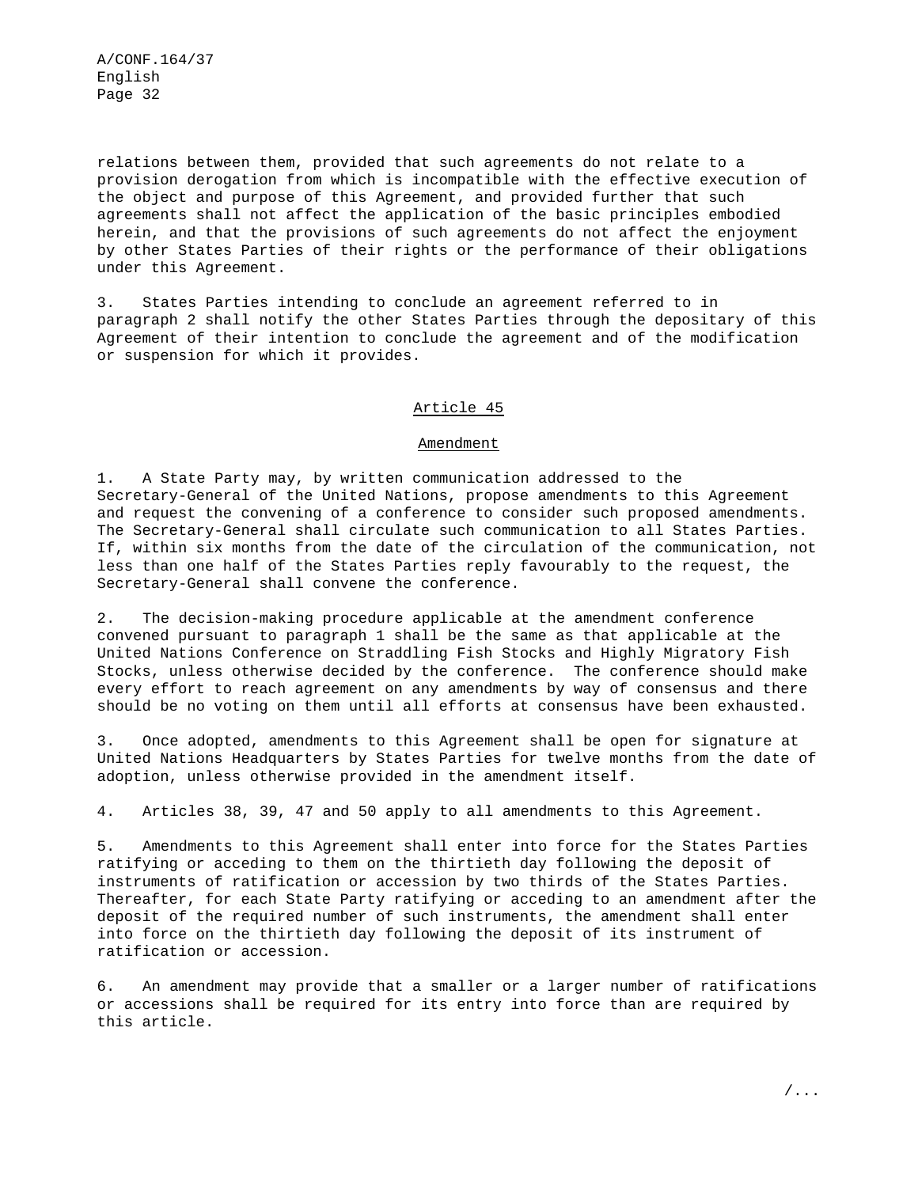relations between them, provided that such agreements do not relate to a provision derogation from which is incompatible with the effective execution of the object and purpose of this Agreement, and provided further that such agreements shall not affect the application of the basic principles embodied herein, and that the provisions of such agreements do not affect the enjoyment by other States Parties of their rights or the performance of their obligations under this Agreement.

3. States Parties intending to conclude an agreement referred to in paragraph 2 shall notify the other States Parties through the depositary of this Agreement of their intention to conclude the agreement and of the modification or suspension for which it provides.

#### Article 45

## Amendment

1. A State Party may, by written communication addressed to the Secretary-General of the United Nations, propose amendments to this Agreement and request the convening of a conference to consider such proposed amendments. The Secretary-General shall circulate such communication to all States Parties. If, within six months from the date of the circulation of the communication, not less than one half of the States Parties reply favourably to the request, the Secretary-General shall convene the conference.

2. The decision-making procedure applicable at the amendment conference convened pursuant to paragraph 1 shall be the same as that applicable at the United Nations Conference on Straddling Fish Stocks and Highly Migratory Fish Stocks, unless otherwise decided by the conference. The conference should make every effort to reach agreement on any amendments by way of consensus and there should be no voting on them until all efforts at consensus have been exhausted.

3. Once adopted, amendments to this Agreement shall be open for signature at United Nations Headquarters by States Parties for twelve months from the date of adoption, unless otherwise provided in the amendment itself.

4. Articles 38, 39, 47 and 50 apply to all amendments to this Agreement.

5. Amendments to this Agreement shall enter into force for the States Parties ratifying or acceding to them on the thirtieth day following the deposit of instruments of ratification or accession by two thirds of the States Parties. Thereafter, for each State Party ratifying or acceding to an amendment after the deposit of the required number of such instruments, the amendment shall enter into force on the thirtieth day following the deposit of its instrument of ratification or accession.

6. An amendment may provide that a smaller or a larger number of ratifications or accessions shall be required for its entry into force than are required by this article.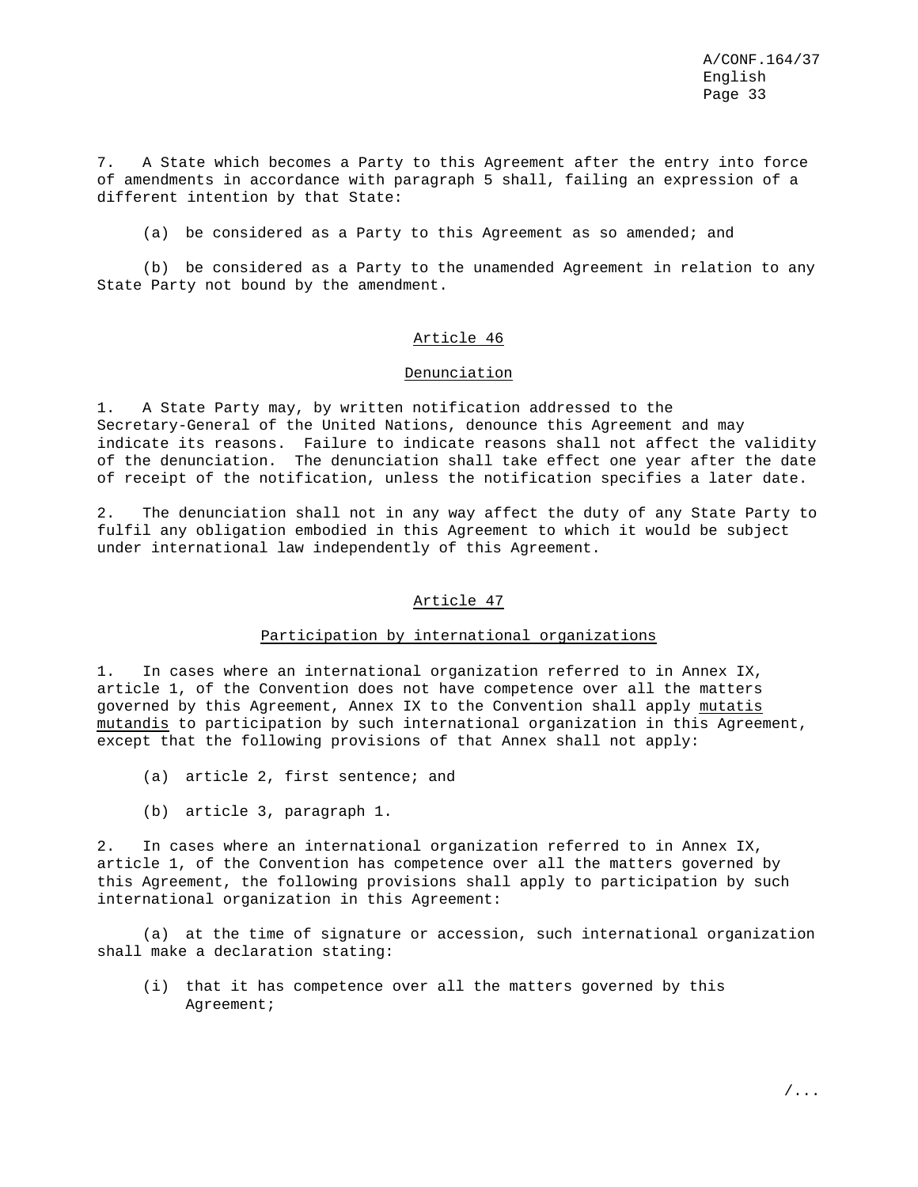7. A State which becomes a Party to this Agreement after the entry into force of amendments in accordance with paragraph 5 shall, failing an expression of a different intention by that State:

(a) be considered as a Party to this Agreement as so amended; and

(b) be considered as a Party to the unamended Agreement in relation to any State Party not bound by the amendment.

# Article 46

### Denunciation

1. A State Party may, by written notification addressed to the Secretary-General of the United Nations, denounce this Agreement and may indicate its reasons. Failure to indicate reasons shall not affect the validity of the denunciation. The denunciation shall take effect one year after the date of receipt of the notification, unless the notification specifies a later date.

2. The denunciation shall not in any way affect the duty of any State Party to fulfil any obligation embodied in this Agreement to which it would be subject under international law independently of this Agreement.

# Article 47

## Participation by international organizations

1. In cases where an international organization referred to in Annex IX, article 1, of the Convention does not have competence over all the matters governed by this Agreement, Annex IX to the Convention shall apply mutatis mutandis to participation by such international organization in this Agreement, except that the following provisions of that Annex shall not apply:

- (a) article 2, first sentence; and
- (b) article 3, paragraph 1.

2. In cases where an international organization referred to in Annex IX, article 1, of the Convention has competence over all the matters governed by this Agreement, the following provisions shall apply to participation by such international organization in this Agreement:

(a) at the time of signature or accession, such international organization shall make a declaration stating:

(i) that it has competence over all the matters governed by this Agreement;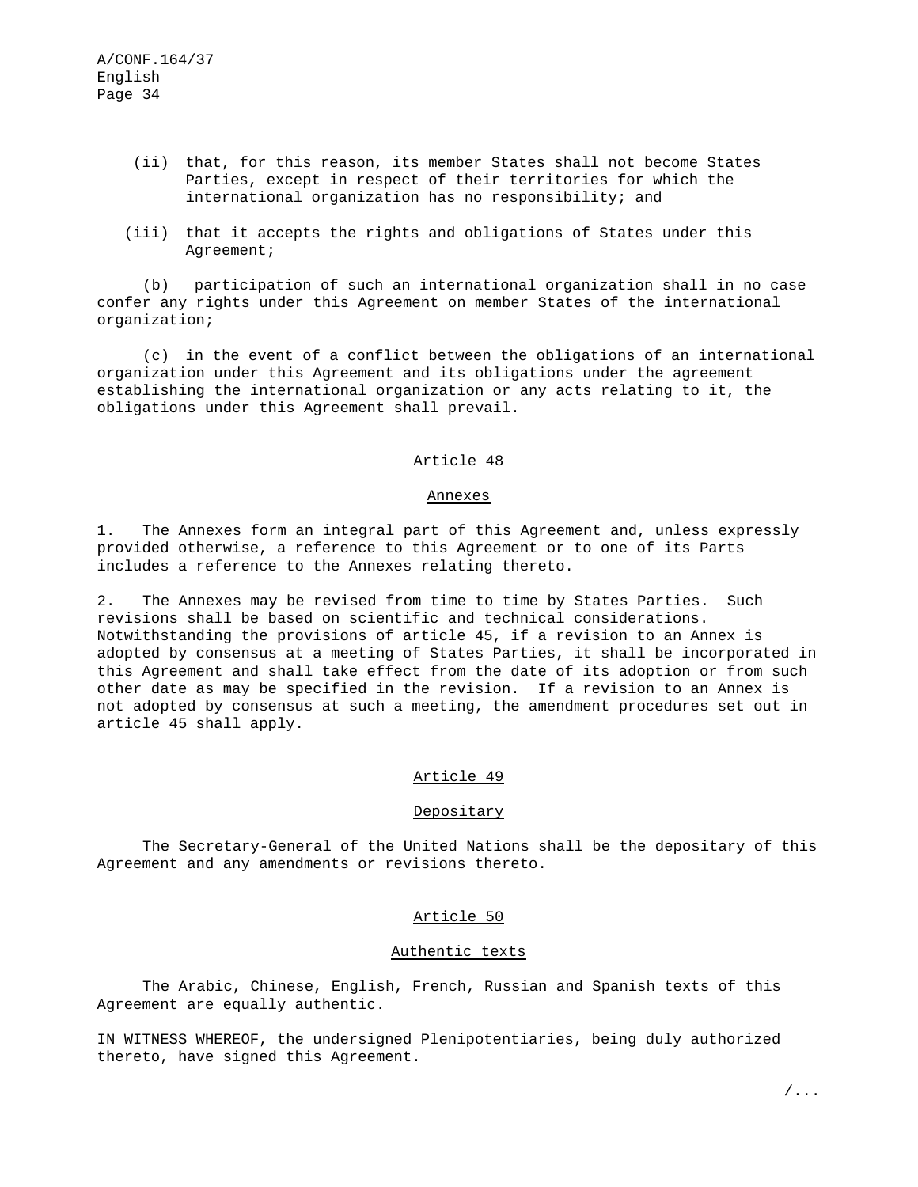- (ii) that, for this reason, its member States shall not become States Parties, except in respect of their territories for which the international organization has no responsibility; and
- (iii) that it accepts the rights and obligations of States under this Agreement;

(b) participation of such an international organization shall in no case confer any rights under this Agreement on member States of the international organization;

(c) in the event of a conflict between the obligations of an international organization under this Agreement and its obligations under the agreement establishing the international organization or any acts relating to it, the obligations under this Agreement shall prevail.

# Article 48

#### Annexes

1. The Annexes form an integral part of this Agreement and, unless expressly provided otherwise, a reference to this Agreement or to one of its Parts includes a reference to the Annexes relating thereto.

2. The Annexes may be revised from time to time by States Parties. Such revisions shall be based on scientific and technical considerations. Notwithstanding the provisions of article 45, if a revision to an Annex is adopted by consensus at a meeting of States Parties, it shall be incorporated in this Agreement and shall take effect from the date of its adoption or from such other date as may be specified in the revision. If a revision to an Annex is not adopted by consensus at such a meeting, the amendment procedures set out in article 45 shall apply.

## Article 49

#### **Depositary**

The Secretary-General of the United Nations shall be the depositary of this Agreement and any amendments or revisions thereto.

#### Article 50

#### Authentic texts

The Arabic, Chinese, English, French, Russian and Spanish texts of this Agreement are equally authentic.

IN WITNESS WHEREOF, the undersigned Plenipotentiaries, being duly authorized thereto, have signed this Agreement.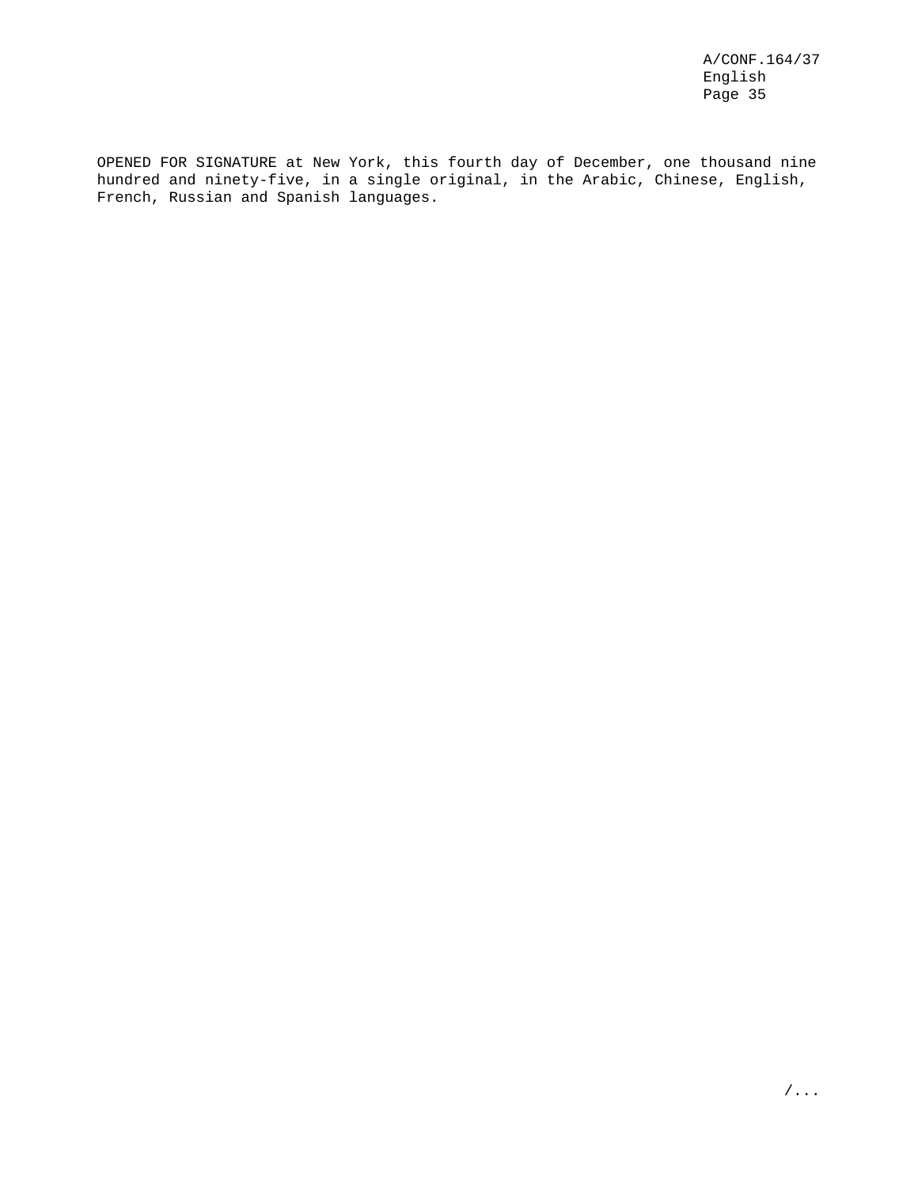OPENED FOR SIGNATURE at New York, this fourth day of December, one thousand nine hundred and ninety-five, in a single original, in the Arabic, Chinese, English, French, Russian and Spanish languages.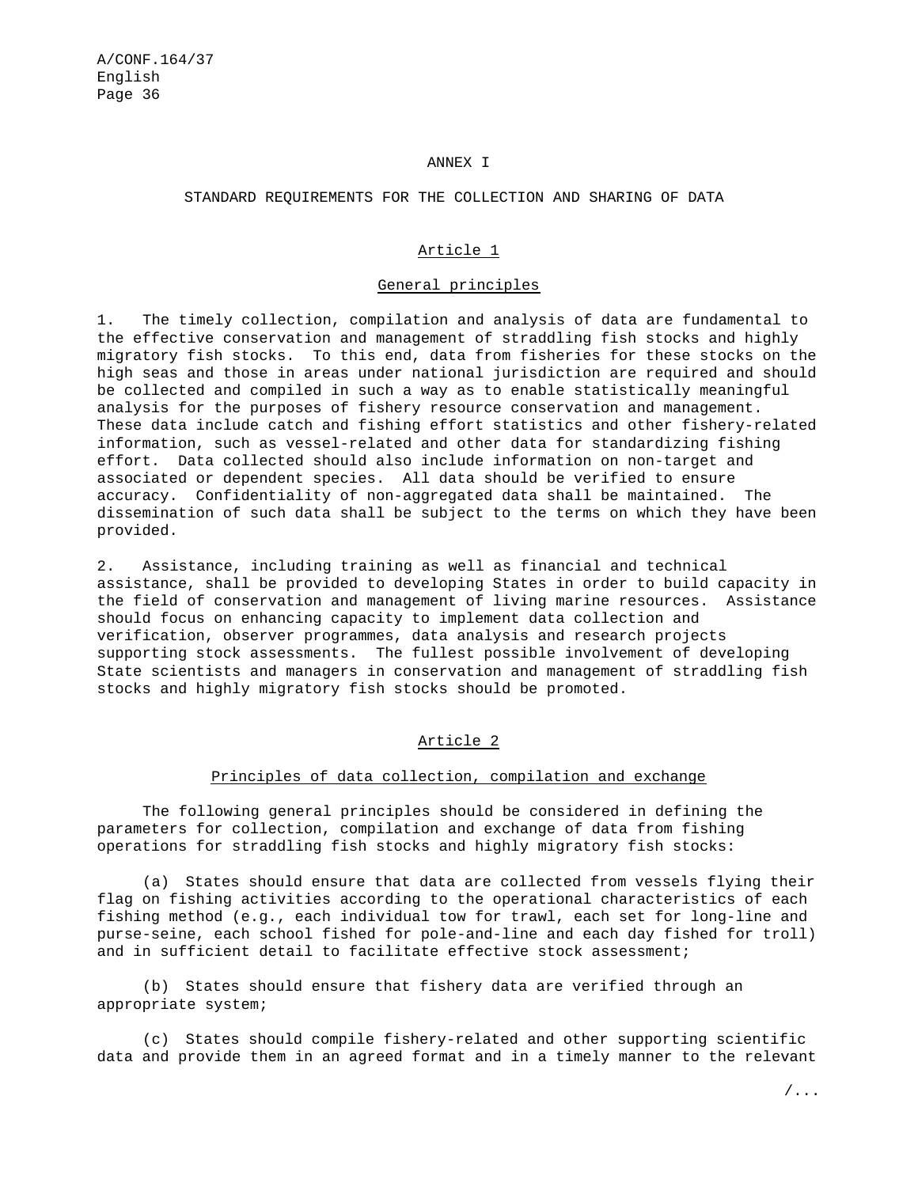# ANNEX I

## STANDARD REQUIREMENTS FOR THE COLLECTION AND SHARING OF DATA

## Article 1

## General principles

1. The timely collection, compilation and analysis of data are fundamental to the effective conservation and management of straddling fish stocks and highly migratory fish stocks. To this end, data from fisheries for these stocks on the high seas and those in areas under national jurisdiction are required and should be collected and compiled in such a way as to enable statistically meaningful analysis for the purposes of fishery resource conservation and management. These data include catch and fishing effort statistics and other fishery-related information, such as vessel-related and other data for standardizing fishing effort. Data collected should also include information on non-target and associated or dependent species. All data should be verified to ensure accuracy. Confidentiality of non-aggregated data shall be maintained. The dissemination of such data shall be subject to the terms on which they have been provided.

2. Assistance, including training as well as financial and technical assistance, shall be provided to developing States in order to build capacity in the field of conservation and management of living marine resources. Assistance should focus on enhancing capacity to implement data collection and verification, observer programmes, data analysis and research projects supporting stock assessments. The fullest possible involvement of developing State scientists and managers in conservation and management of straddling fish stocks and highly migratory fish stocks should be promoted.

# Article 2

# Principles of data collection, compilation and exchange

The following general principles should be considered in defining the parameters for collection, compilation and exchange of data from fishing operations for straddling fish stocks and highly migratory fish stocks:

(a) States should ensure that data are collected from vessels flying their flag on fishing activities according to the operational characteristics of each fishing method (e.g., each individual tow for trawl, each set for long-line and purse-seine, each school fished for pole-and-line and each day fished for troll) and in sufficient detail to facilitate effective stock assessment;

(b) States should ensure that fishery data are verified through an appropriate system;

(c) States should compile fishery-related and other supporting scientific data and provide them in an agreed format and in a timely manner to the relevant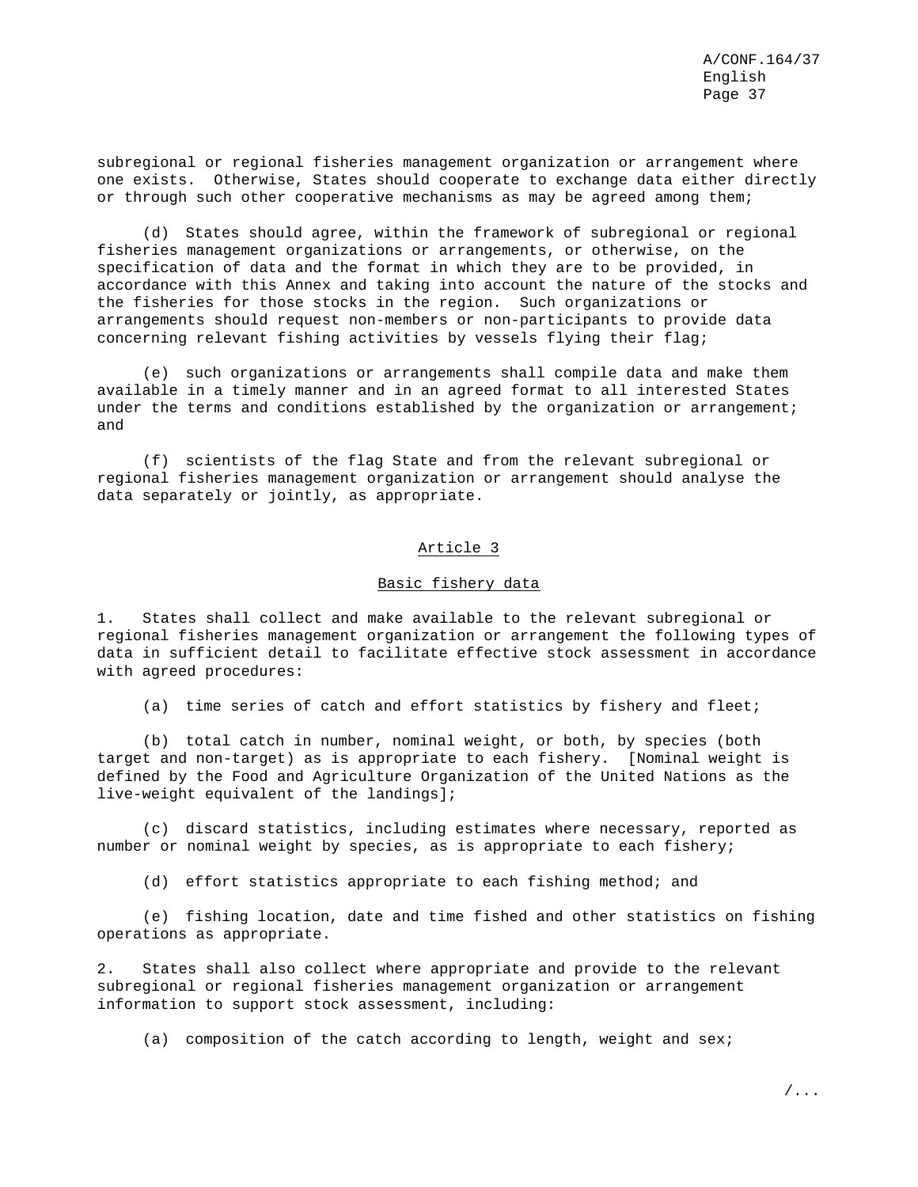subregional or regional fisheries management organization or arrangement where one exists. Otherwise, States should cooperate to exchange data either directly or through such other cooperative mechanisms as may be agreed among them;

(d) States should agree, within the framework of subregional or regional fisheries management organizations or arrangements, or otherwise, on the specification of data and the format in which they are to be provided, in accordance with this Annex and taking into account the nature of the stocks and the fisheries for those stocks in the region. Such organizations or arrangements should request non-members or non-participants to provide data concerning relevant fishing activities by vessels flying their flag;

(e) such organizations or arrangements shall compile data and make them available in a timely manner and in an agreed format to all interested States under the terms and conditions established by the organization or arrangement; and

(f) scientists of the flag State and from the relevant subregional or regional fisheries management organization or arrangement should analyse the data separately or jointly, as appropriate.

#### Article 3

# Basic fishery data

1. States shall collect and make available to the relevant subregional or regional fisheries management organization or arrangement the following types of data in sufficient detail to facilitate effective stock assessment in accordance with agreed procedures:

(a) time series of catch and effort statistics by fishery and fleet;

(b) total catch in number, nominal weight, or both, by species (both target and non-target) as is appropriate to each fishery. [Nominal weight is defined by the Food and Agriculture Organization of the United Nations as the live-weight equivalent of the landings];

(c) discard statistics, including estimates where necessary, reported as number or nominal weight by species, as is appropriate to each fishery;

(d) effort statistics appropriate to each fishing method; and

(e) fishing location, date and time fished and other statistics on fishing operations as appropriate.

2. States shall also collect where appropriate and provide to the relevant subregional or regional fisheries management organization or arrangement information to support stock assessment, including:

(a) composition of the catch according to length, weight and  $sexi$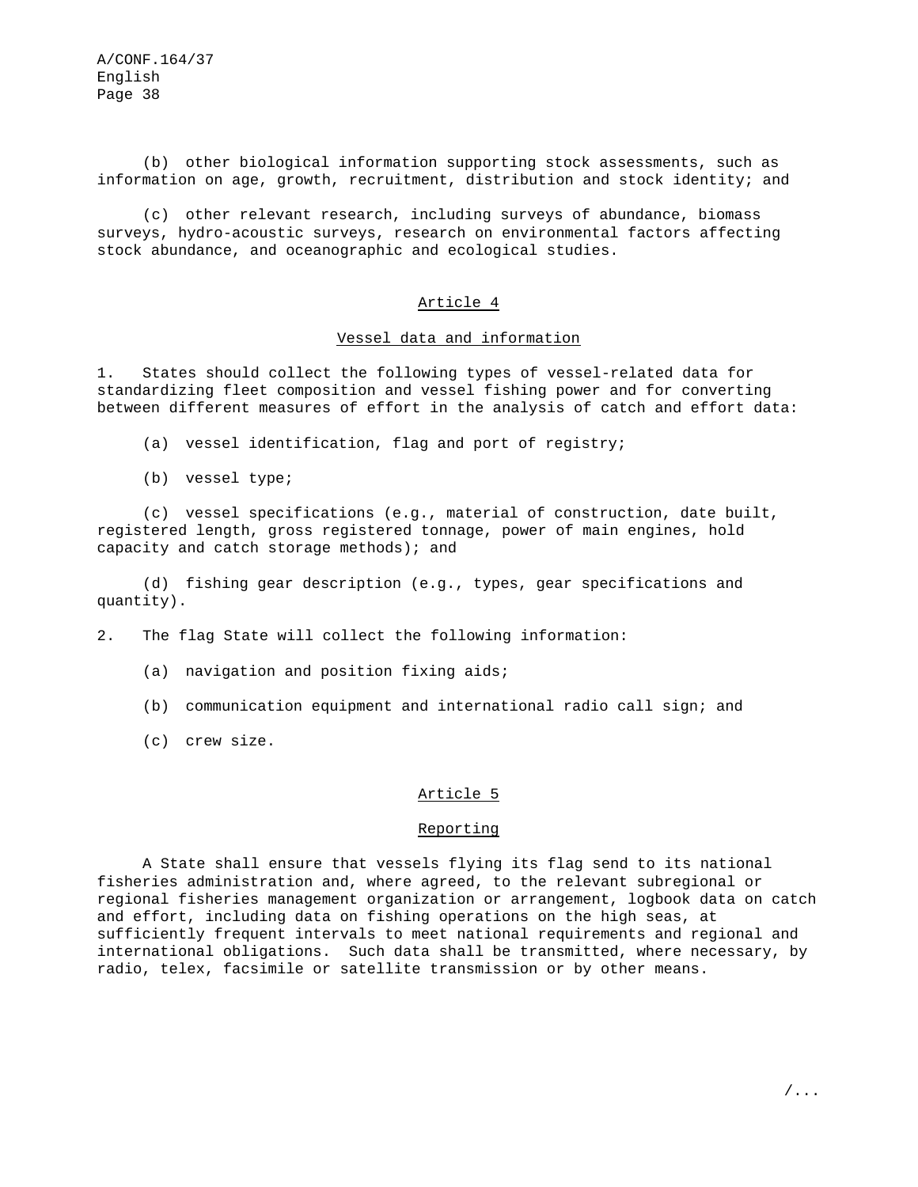(b) other biological information supporting stock assessments, such as information on age, growth, recruitment, distribution and stock identity; and

(c) other relevant research, including surveys of abundance, biomass surveys, hydro-acoustic surveys, research on environmental factors affecting stock abundance, and oceanographic and ecological studies.

## Article 4

## Vessel data and information

1. States should collect the following types of vessel-related data for standardizing fleet composition and vessel fishing power and for converting between different measures of effort in the analysis of catch and effort data:

(a) vessel identification, flag and port of registry;

(b) vessel type;

(c) vessel specifications (e.g., material of construction, date built, registered length, gross registered tonnage, power of main engines, hold capacity and catch storage methods); and

(d) fishing gear description (e.g., types, gear specifications and quantity).

2. The flag State will collect the following information:

- (a) navigation and position fixing aids;
- (b) communication equipment and international radio call sign; and
- (c) crew size.

## Article 5

## Reporting

A State shall ensure that vessels flying its flag send to its national fisheries administration and, where agreed, to the relevant subregional or regional fisheries management organization or arrangement, logbook data on catch and effort, including data on fishing operations on the high seas, at sufficiently frequent intervals to meet national requirements and regional and international obligations. Such data shall be transmitted, where necessary, by radio, telex, facsimile or satellite transmission or by other means.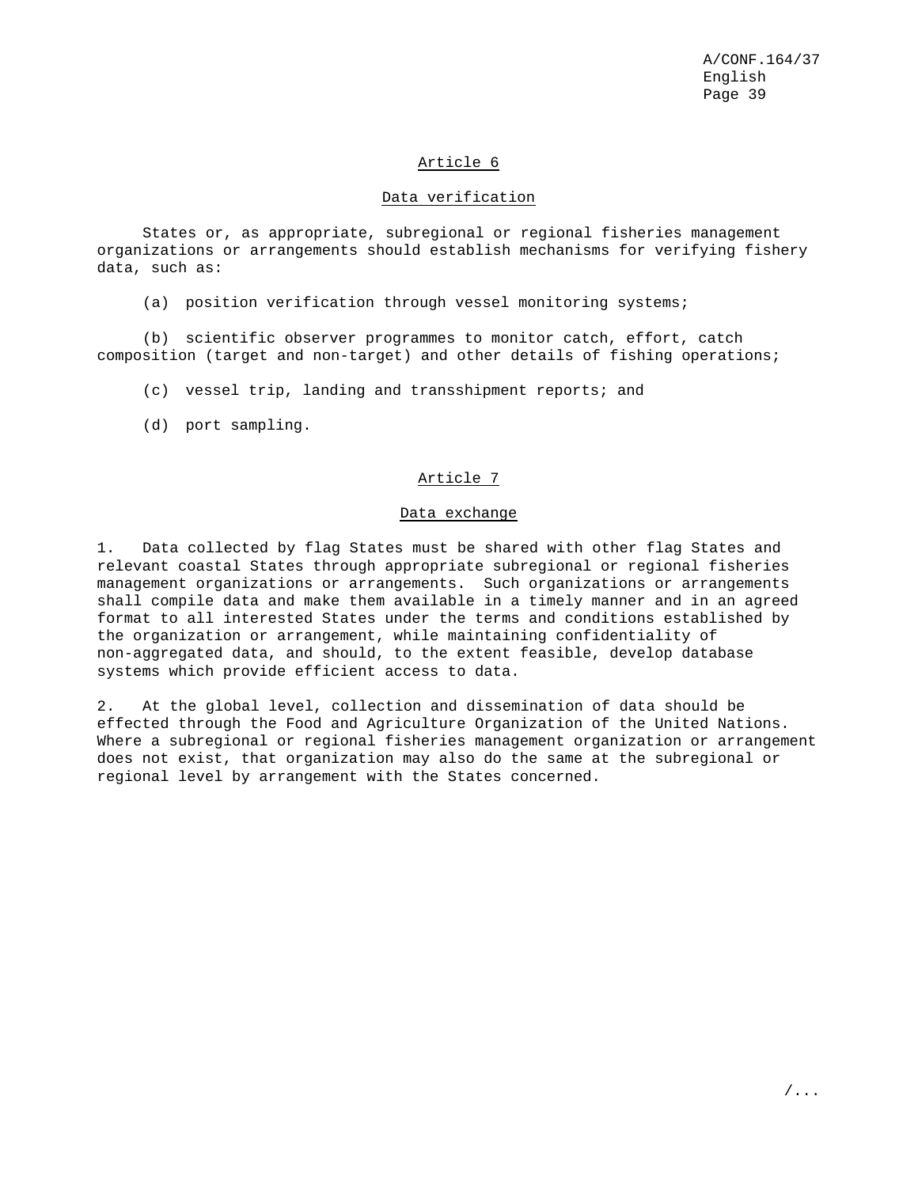# Article 6

# Data verification

States or, as appropriate, subregional or regional fisheries management organizations or arrangements should establish mechanisms for verifying fishery data, such as:

(a) position verification through vessel monitoring systems;

(b) scientific observer programmes to monitor catch, effort, catch composition (target and non-target) and other details of fishing operations;

(c) vessel trip, landing and transshipment reports; and

(d) port sampling.

# Article 7

## Data exchange

1. Data collected by flag States must be shared with other flag States and relevant coastal States through appropriate subregional or regional fisheries management organizations or arrangements. Such organizations or arrangements shall compile data and make them available in a timely manner and in an agreed format to all interested States under the terms and conditions established by the organization or arrangement, while maintaining confidentiality of non-aggregated data, and should, to the extent feasible, develop database systems which provide efficient access to data.

2. At the global level, collection and dissemination of data should be effected through the Food and Agriculture Organization of the United Nations. Where a subregional or regional fisheries management organization or arrangement does not exist, that organization may also do the same at the subregional or regional level by arrangement with the States concerned.